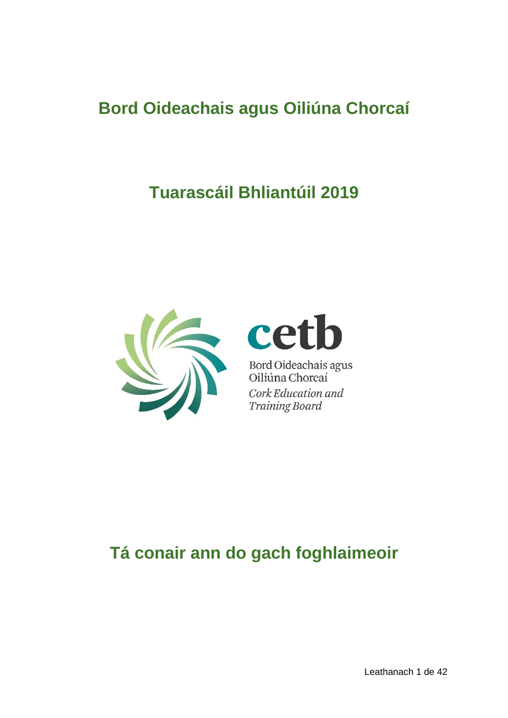# **Bord Oideachais agus Oiliúna Chorcaí**

# **Tuarascáil Bhliantúil 2019**





Bord Oideachais agus<br>Oiliúna Chorcaí Cork Education and **Training Board** 

# **Tá conair ann do gach foghlaimeoir**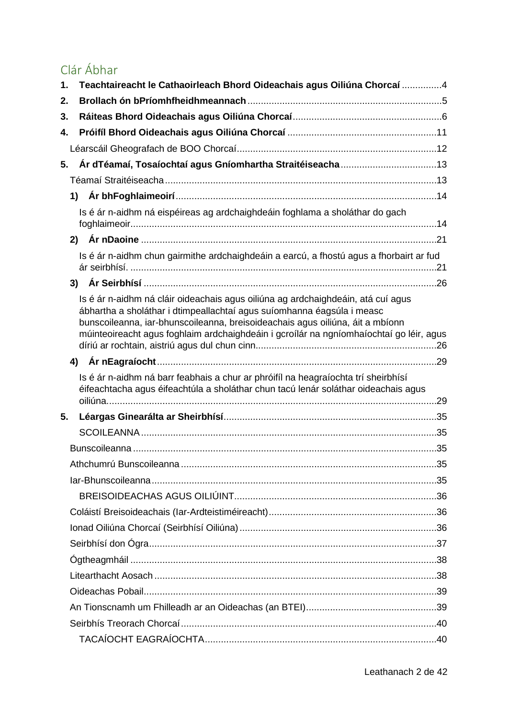# Clár Ábhar

| 1. | Teachtaireacht le Cathaoirleach Bhord Oideachais agus Oiliúna Chorcaí 4                                                                                                                                                                                                                                                                |  |
|----|----------------------------------------------------------------------------------------------------------------------------------------------------------------------------------------------------------------------------------------------------------------------------------------------------------------------------------------|--|
| 2. |                                                                                                                                                                                                                                                                                                                                        |  |
| 3. |                                                                                                                                                                                                                                                                                                                                        |  |
| 4. |                                                                                                                                                                                                                                                                                                                                        |  |
|    |                                                                                                                                                                                                                                                                                                                                        |  |
| 5. |                                                                                                                                                                                                                                                                                                                                        |  |
|    |                                                                                                                                                                                                                                                                                                                                        |  |
|    |                                                                                                                                                                                                                                                                                                                                        |  |
|    | Is é ár n-aidhm ná eispéireas ag ardchaighdeáin foghlama a sholáthar do gach                                                                                                                                                                                                                                                           |  |
|    |                                                                                                                                                                                                                                                                                                                                        |  |
|    | Is é ár n-aidhm chun gairmithe ardchaighdeáin a earcú, a fhostú agus a fhorbairt ar fud                                                                                                                                                                                                                                                |  |
|    |                                                                                                                                                                                                                                                                                                                                        |  |
|    | Is é ár n-aidhm ná cláir oideachais agus oiliúna ag ardchaighdeáin, atá cuí agus<br>ábhartha a sholáthar i dtimpeallachtaí agus suíomhanna éagsúla i measc<br>bunscoileanna, iar-bhunscoileanna, breisoideachais agus oiliúna, áit a mbíonn<br>múinteoireacht agus foghlaim ardchaighdeáin i gcroílár na ngníomhaíochtaí go léir, agus |  |
|    |                                                                                                                                                                                                                                                                                                                                        |  |
|    | Is é ár n-aidhm ná barr feabhais a chur ar phróifíl na heagraíochta trí sheirbhísí<br>éifeachtacha agus éifeachtúla a sholáthar chun tacú lenár soláthar oideachais agus                                                                                                                                                               |  |
| 5. |                                                                                                                                                                                                                                                                                                                                        |  |
|    |                                                                                                                                                                                                                                                                                                                                        |  |
|    |                                                                                                                                                                                                                                                                                                                                        |  |
|    |                                                                                                                                                                                                                                                                                                                                        |  |
|    |                                                                                                                                                                                                                                                                                                                                        |  |
|    |                                                                                                                                                                                                                                                                                                                                        |  |
|    |                                                                                                                                                                                                                                                                                                                                        |  |
|    |                                                                                                                                                                                                                                                                                                                                        |  |
|    |                                                                                                                                                                                                                                                                                                                                        |  |
|    |                                                                                                                                                                                                                                                                                                                                        |  |
|    |                                                                                                                                                                                                                                                                                                                                        |  |
|    |                                                                                                                                                                                                                                                                                                                                        |  |
|    |                                                                                                                                                                                                                                                                                                                                        |  |
|    |                                                                                                                                                                                                                                                                                                                                        |  |
|    |                                                                                                                                                                                                                                                                                                                                        |  |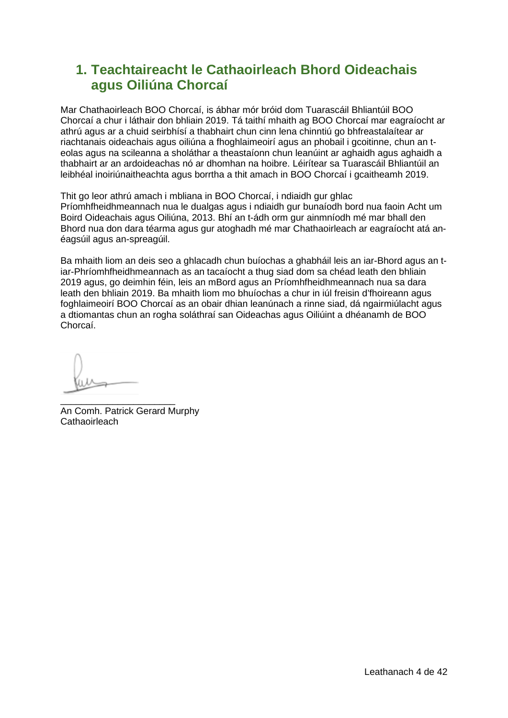# <span id="page-3-0"></span>**1. Teachtaireacht le Cathaoirleach Bhord Oideachais agus Oiliúna Chorcaí**

Mar Chathaoirleach BOO Chorcaí, is ábhar mór bróid dom Tuarascáil Bhliantúil BOO Chorcaí a chur i láthair don bhliain 2019. Tá taithí mhaith ag BOO Chorcaí mar eagraíocht ar athrú agus ar a chuid seirbhísí a thabhairt chun cinn lena chinntiú go bhfreastalaítear ar riachtanais oideachais agus oiliúna a fhoghlaimeoirí agus an phobail i gcoitinne, chun an teolas agus na scileanna a sholáthar a theastaíonn chun leanúint ar aghaidh agus aghaidh a thabhairt ar an ardoideachas nó ar dhomhan na hoibre. Léirítear sa Tuarascáil Bhliantúil an leibhéal inoiriúnaitheachta agus borrtha a thit amach in BOO Chorcaí i gcaitheamh 2019.

Thit go leor athrú amach i mbliana in BOO Chorcaí, i ndiaidh gur ghlac Príomhfheidhmeannach nua le dualgas agus i ndiaidh gur bunaíodh bord nua faoin Acht um Boird Oideachais agus Oiliúna, 2013. Bhí an t-ádh orm gur ainmníodh mé mar bhall den Bhord nua don dara téarma agus gur atoghadh mé mar Chathaoirleach ar eagraíocht atá anéagsúil agus an-spreagúil.

Ba mhaith liom an deis seo a ghlacadh chun buíochas a ghabháil leis an iar-Bhord agus an tiar-Phríomhfheidhmeannach as an tacaíocht a thug siad dom sa chéad leath den bhliain 2019 agus, go deimhin féin, leis an mBord agus an Príomhfheidhmeannach nua sa dara leath den bhliain 2019. Ba mhaith liom mo bhuíochas a chur in iúl freisin d'fhoireann agus foghlaimeoirí BOO Chorcaí as an obair dhian leanúnach a rinne siad, dá ngairmiúlacht agus a dtiomantas chun an rogha soláthraí san Oideachas agus Oiliúint a dhéanamh de BOO Chorcaí.

\_\_\_\_\_\_\_\_\_\_\_\_\_\_\_\_\_\_\_\_\_\_ An Comh. Patrick Gerard Murphy **Cathaoirleach**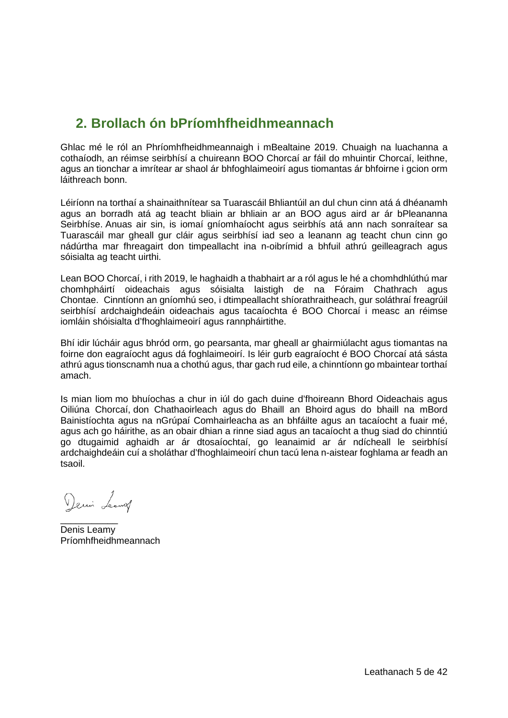# <span id="page-4-0"></span>**2. Brollach ón bPríomhfheidhmeannach**

Ghlac mé le ról an Phríomhfheidhmeannaigh i mBealtaine 2019. Chuaigh na luachanna a cothaíodh, an réimse seirbhísí a chuireann BOO Chorcaí ar fáil do mhuintir Chorcaí. leithne. agus an tionchar a imrítear ar shaol ár bhfoghlaimeoirí agus tiomantas ár bhfoirne i gcion orm láithreach bonn.

Léiríonn na torthaí a shainaithnítear sa Tuarascáil Bhliantúil an dul chun cinn atá á dhéanamh agus an borradh atá ag teacht bliain ar bhliain ar an BOO agus aird ar ár bPleananna Seirbhíse. Anuas air sin, is iomaí gníomhaíocht agus seirbhís atá ann nach sonraítear sa Tuarascáil mar gheall gur cláir agus seirbhísí iad seo a leanann ag teacht chun cinn go nádúrtha mar fhreagairt don timpeallacht ina n-oibrímid a bhfuil athrú geilleagrach agus sóisialta ag teacht uirthi.

Lean BOO Chorcaí, i rith 2019, le haghaidh a thabhairt ar a ról agus le hé a chomhdhlúthú mar chomhpháirtí oideachais agus sóisialta laistigh de na Fóraim Chathrach agus Chontae. Cinntíonn an gníomhú seo, i dtimpeallacht shíorathraitheach, gur soláthraí freagrúil seirbhísí ardchaighdeáin oideachais agus tacaíochta é BOO Chorcaí i measc an réimse iomláin shóisialta d'fhoghlaimeoirí agus rannpháirtithe.

Bhí idir lúcháir agus bhród orm, go pearsanta, mar gheall ar ghairmiúlacht agus tiomantas na foirne don eagraíocht agus dá foghlaimeoirí. Is léir gurb eagraíocht é BOO Chorcaí atá sásta athrú agus tionscnamh nua a chothú agus, thar gach rud eile, a chinntíonn go mbaintear torthaí amach.

Is mian liom mo bhuíochas a chur in iúl do gach duine d'fhoireann Bhord Oideachais agus Oiliúna Chorcaí, don Chathaoirleach agus do Bhaill an Bhoird agus do bhaill na mBord Bainistíochta agus na nGrúpaí Comhairleacha as an bhfáilte agus an tacaíocht a fuair mé, agus ach go háirithe, as an obair dhian a rinne siad agus an tacaíocht a thug siad do chinntiú go dtugaimid aghaidh ar ár dtosaíochtaí, go leanaimid ar ár ndícheall le seirbhísí ardchaighdeáin cuí a sholáthar d'fhoghlaimeoirí chun tacú lena n-aistear foghlama ar feadh an tsaoil.

Demin Leaving

\_\_\_\_\_\_\_\_\_\_\_ Denis Leamy Príomhfheidhmeannach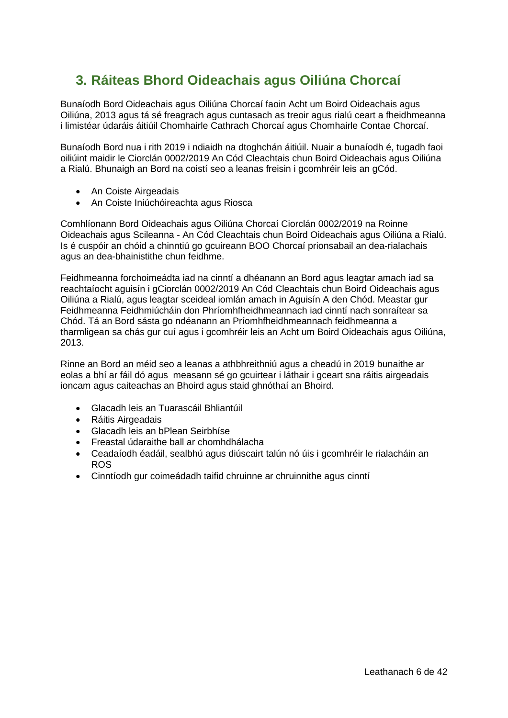# <span id="page-5-0"></span>**3. Ráiteas Bhord Oideachais agus Oiliúna Chorcaí**

Bunaíodh Bord Oideachais agus Oiliúna Chorcaí faoin Acht um Boird Oideachais agus Oiliúna, 2013 agus tá sé freagrach agus cuntasach as treoir agus rialú ceart a fheidhmeanna i limistéar údaráis áitiúil Chomhairle Cathrach Chorcaí agus Chomhairle Contae Chorcaí.

Bunaíodh Bord nua i rith 2019 i ndiaidh na dtoghchán áitiúil. Nuair a bunaíodh é, tugadh faoi oiliúint maidir le Ciorclán 0002/2019 An Cód Cleachtais chun Boird Oideachais agus Oiliúna a Rialú. Bhunaigh an Bord na coistí seo a leanas freisin i gcomhréir leis an gCód.

- An Coiste Airgeadais
- An Coiste Iniúchóireachta agus Riosca

Comhlíonann Bord Oideachais agus Oiliúna Chorcaí Ciorclán 0002/2019 na Roinne Oideachais agus Scileanna - An Cód Cleachtais chun Boird Oideachais agus Oiliúna a Rialú. Is é cuspóir an chóid a chinntiú go gcuireann BOO Chorcaí prionsabail an dea-rialachais agus an dea-bhainistithe chun feidhme.

Feidhmeanna forchoimeádta iad na cinntí a dhéanann an Bord agus leagtar amach iad sa reachtaíocht aguisín i gCiorclán 0002/2019 An Cód Cleachtais chun Boird Oideachais agus Oiliúna a Rialú, agus leagtar sceideal iomlán amach in Aguisín A den Chód. Meastar gur Feidhmeanna Feidhmiúcháin don Phríomhfheidhmeannach iad cinntí nach sonraítear sa Chód. Tá an Bord sásta go ndéanann an Príomhfheidhmeannach feidhmeanna a tharmligean sa chás gur cuí agus i gcomhréir leis an Acht um Boird Oideachais agus Oiliúna, 2013.

Rinne an Bord an méid seo a leanas a athbhreithniú agus a cheadú in 2019 bunaithe ar eolas a bhí ar fáil dó agus measann sé go gcuirtear i láthair i gceart sna ráitis airgeadais ioncam agus caiteachas an Bhoird agus staid ghnóthaí an Bhoird.

- Glacadh leis an Tuarascáil Bhliantúil
- Ráitis Airgeadais
- Glacadh leis an bPlean Seirbhíse
- Freastal údaraithe ball ar chomhdhálacha
- Ceadaíodh éadáil, sealbhú agus diúscairt talún nó úis i gcomhréir le rialacháin an ROS
- Cinntíodh gur coimeádadh taifid chruinne ar chruinnithe agus cinntí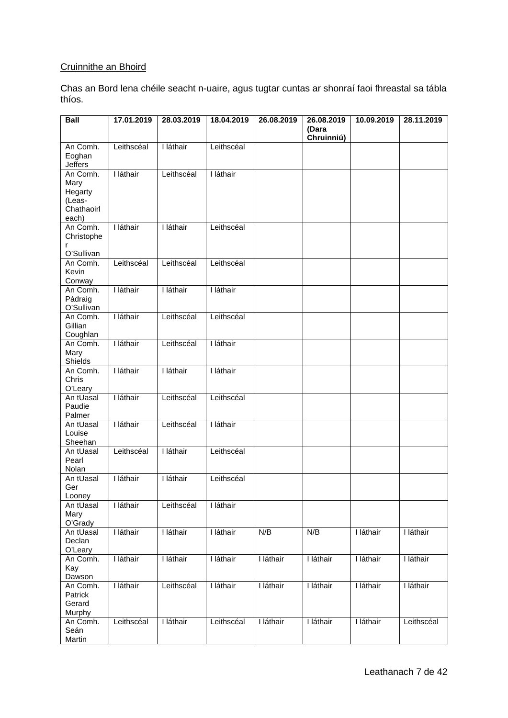### Cruinnithe an Bhoird

Chas an Bord lena chéile seacht n-uaire, agus tugtar cuntas ar shonraí faoi fhreastal sa tábla thíos.

| <b>Ball</b>                 | 17.01.2019 | 28.03.2019 | 18.04.2019 | 26.08.2019 | 26.08.2019          | 10.09.2019 | 28.11.2019 |
|-----------------------------|------------|------------|------------|------------|---------------------|------------|------------|
|                             |            |            |            |            | (Dara<br>Chruinniú) |            |            |
| An Comh.                    | Leithscéal | I láthair  | Leithscéal |            |                     |            |            |
| Eoghan<br><b>Jeffers</b>    |            |            |            |            |                     |            |            |
| An Comh.                    | I láthair  | Leithscéal | I láthair  |            |                     |            |            |
| Mary                        |            |            |            |            |                     |            |            |
| Hegarty                     |            |            |            |            |                     |            |            |
| (Leas-<br>Chathaoirl        |            |            |            |            |                     |            |            |
| each)                       |            |            |            |            |                     |            |            |
| An Comh.<br>Christophe<br>r | I láthair  | I láthair  | Leithscéal |            |                     |            |            |
| O'Sullivan                  |            |            |            |            |                     |            |            |
| An Comh.                    | Leithscéal | Leithscéal | Leithscéal |            |                     |            |            |
| Kevin                       |            |            |            |            |                     |            |            |
| Conway<br>An Comh.          | I láthair  | I láthair  | I láthair  |            |                     |            |            |
| Pádraig                     |            |            |            |            |                     |            |            |
| O'Sullivan                  |            |            |            |            |                     |            |            |
| An Comh.<br>Gillian         | I láthair  | Leithscéal | Leithscéal |            |                     |            |            |
| Coughlan                    |            |            |            |            |                     |            |            |
| An Comh.                    | I láthair  | Leithscéal | I láthair  |            |                     |            |            |
| Mary<br>Shields             |            |            |            |            |                     |            |            |
| An Comh.                    | I láthair  | I láthair  | I láthair  |            |                     |            |            |
| Chris<br>O'Leary            |            |            |            |            |                     |            |            |
| An tUasal                   | I láthair  | Leithscéal | Leithscéal |            |                     |            |            |
| Paudie                      |            |            |            |            |                     |            |            |
| Palmer<br>An tUasal         | I láthair  | Leithscéal | I láthair  |            |                     |            |            |
| Louise                      |            |            |            |            |                     |            |            |
| Sheehan                     |            |            |            |            |                     |            |            |
| An tUasal                   | Leithscéal | I láthair  | Leithscéal |            |                     |            |            |
| Pearl<br>Nolan              |            |            |            |            |                     |            |            |
| An tUasal                   | I láthair  | I láthair  | Leithscéal |            |                     |            |            |
| Ger                         |            |            |            |            |                     |            |            |
| Looney                      | I láthair  | Leithscéal | I láthair  |            |                     |            |            |
| An tUasal<br>Mary           |            |            |            |            |                     |            |            |
| O'Grady                     |            |            |            |            |                     |            |            |
| An tUasal                   | I láthair  | I láthair  | I láthair  | N/B        | N/B                 | I láthair  | I láthair  |
| Declan<br>O'Leary           |            |            |            |            |                     |            |            |
| An Comh.                    | I láthair  | I láthair  | I láthair  | I láthair  | I láthair           | I láthair  | I láthair  |
| Kay                         |            |            |            |            |                     |            |            |
| Dawson                      |            |            | I láthair  | I láthair  |                     |            | I láthair  |
| An Comh.<br>Patrick         | I láthair  | Leithscéal |            |            | I láthair           | I láthair  |            |
| Gerard                      |            |            |            |            |                     |            |            |
| Murphy                      |            |            |            |            |                     |            |            |
| An Comh.<br>Seán            | Leithscéal | I láthair  | Leithscéal | I láthair  | I láthair           | I láthair  | Leithscéal |
| Martin                      |            |            |            |            |                     |            |            |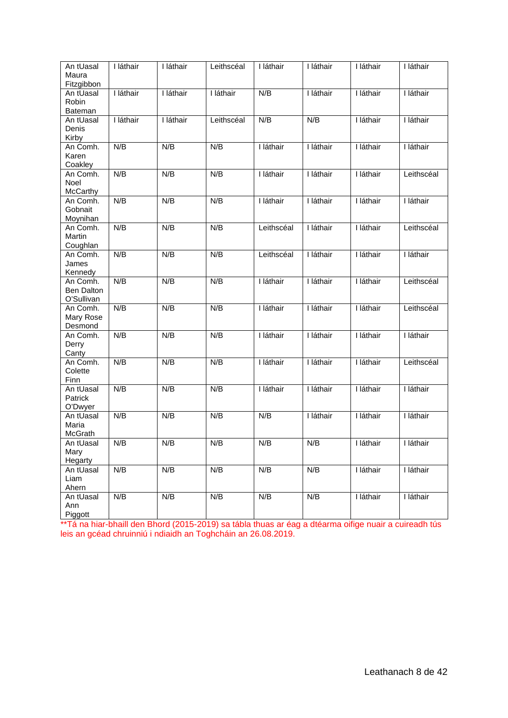| An tUasal<br>Maura<br>Fitzgibbon     | I láthair | I láthair | Leithscéal | I láthair  | I láthair | I láthair | I láthair  |
|--------------------------------------|-----------|-----------|------------|------------|-----------|-----------|------------|
| An tUasal<br>Robin<br>Bateman        | I láthair | I láthair | I láthair  | N/B        | I láthair | I láthair | I láthair  |
| An tUasal<br>Denis<br>Kirby          | I láthair | I láthair | Leithscéal | N/B        | N/B       | I láthair | I láthair  |
| An Comh.<br>Karen<br>Coakley         | N/B       | N/B       | N/B        | I láthair  | I láthair | I láthair | I láthair  |
| An Comh.<br><b>Noel</b><br>McCarthy  | N/B       | N/B       | N/B        | I láthair  | I láthair | I láthair | Leithscéal |
| An Comh.<br>Gobnait<br>Moynihan      | N/B       | N/B       | N/B        | I láthair  | I láthair | I láthair | I láthair  |
| An Comh.<br>Martin<br>Coughlan       | N/B       | N/B       | N/B        | Leithscéal | I láthair | I láthair | Leithscéal |
| An Comh.<br>James<br>Kennedy         | N/B       | N/B       | N/B        | Leithscéal | I láthair | I láthair | I láthair  |
| An Comh.<br>Ben Dalton<br>O'Sullivan | N/B       | N/B       | N/B        | I láthair  | I láthair | I láthair | Leithscéal |
| An Comh.<br>Mary Rose<br>Desmond     | N/B       | N/B       | N/B        | I láthair  | I láthair | I láthair | Leithscéal |
| An Comh.<br>Derry<br>Canty           | N/B       | N/B       | N/B        | I láthair  | I láthair | I láthair | I láthair  |
| An Comh.<br>Colette<br>Finn          | N/B       | N/B       | N/B        | I láthair  | I láthair | I láthair | Leithscéal |
| An tUasal<br>Patrick<br>O'Dwyer      | N/B       | N/B       | N/B        | I láthair  | I láthair | I láthair | I láthair  |
| An tUasal<br>Maria<br>McGrath        | N/B       | N/B       | N/B        | N/B        | I láthair | I láthair | I láthair  |
| An tUasal<br>Mary<br>Hegarty         | N/B       | N/B       | N/B        | N/B        | N/B       | I láthair | I láthair  |
| An tUasal<br>Liam<br>Ahern           | N/B       | N/B       | N/B        | N/B        | N/B       | I láthair | I láthair  |
| An tUasal<br>Ann<br>Piggott          | N/B       | N/B       | N/B        | N/B        | N/B       | I láthair | I láthair  |

\*\*Tá na hiar-bhaill den Bhord (2015-2019) sa tábla thuas ar éag a dtéarma oifige nuair a cuireadh tús leis an gcéad chruinniú i ndiaidh an Toghcháin an 26.08.2019.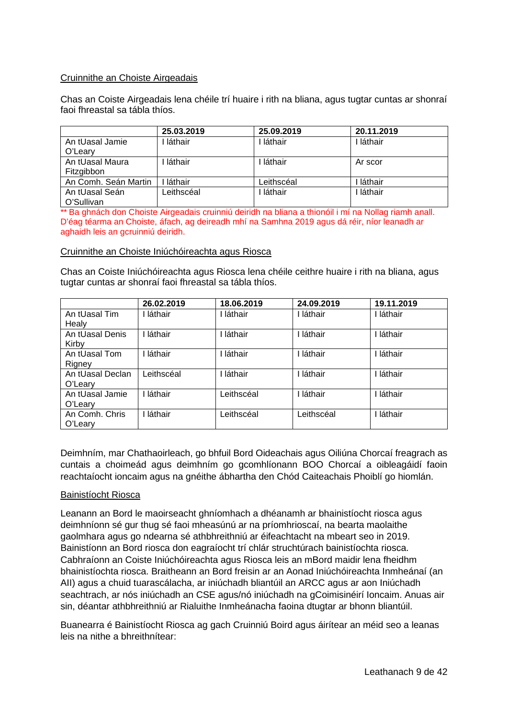#### Cruinnithe an Choiste Airgeadais

Chas an Coiste Airgeadais lena chéile trí huaire i rith na bliana, agus tugtar cuntas ar shonraí faoi fhreastal sa tábla thíos.

|                      | 25.03.2019 | 25.09.2019 | 20.11.2019 |
|----------------------|------------|------------|------------|
| An tUasal Jamie      | láthair    | láthair    | ∣ láthair  |
| O'Leary              |            |            |            |
| An tUasal Maura      | láthair    | láthair    | Ar scor    |
| Fitzgibbon           |            |            |            |
| An Comh. Seán Martin | láthair    | Leithscéal | láthair    |
| An tUasal Seán       | Leithscéal | láthair    | láthair    |
| O'Sullivan           |            |            |            |

\*\* Ba ghnách don Choiste Airgeadais cruinniú deiridh na bliana a thionóil i mí na Nollag riamh anall. D'éag téarma an Choiste, áfach, ag deireadh mhí na Samhna 2019 agus dá réir, níor leanadh ar aghaidh leis an gcruinniú deiridh.

#### Cruinnithe an Choiste Iniúchóireachta agus Riosca

Chas an Coiste Iniúchóireachta agus Riosca lena chéile ceithre huaire i rith na bliana, agus tugtar cuntas ar shonraí faoi fhreastal sa tábla thíos.

|                  | 26.02.2019 | 18.06.2019 | 24.09.2019 | 19.11.2019 |
|------------------|------------|------------|------------|------------|
| An tUasal Tim    | láthair    | láthair    | láthair    | I láthair  |
| Healy            |            |            |            |            |
| An tUasal Denis  | láthair    | láthair    | láthair    | láthair    |
| Kirby            |            |            |            |            |
| An tUasal Tom    | láthair    | láthair    | láthair    | láthair    |
| Rigney           |            |            |            |            |
| An tUasal Declan | Leithscéal | láthair    | láthair    | I láthair  |
| O'Leary          |            |            |            |            |
| An tUasal Jamie  | láthair    | Leithscéal | láthair    | láthair    |
| O'Leary          |            |            |            |            |
| An Comh. Chris   | láthair    | Leithscéal | Leithscéal | I láthair  |
| O'Learv          |            |            |            |            |

Deimhním, mar Chathaoirleach, go bhfuil Bord Oideachais agus Oiliúna Chorcaí freagrach as cuntais a choimeád agus deimhním go gcomhlíonann BOO Chorcaí a oibleagáidí faoin reachtaíocht ioncaim agus na gnéithe ábhartha den Chód Caiteachais Phoiblí go hiomlán.

#### Bainistíocht Riosca

Leanann an Bord le maoirseacht ghníomhach a dhéanamh ar bhainistíocht riosca agus deimhníonn sé gur thug sé faoi mheasúnú ar na príomhrioscaí, na bearta maolaithe gaolmhara agus go ndearna sé athbhreithniú ar éifeachtacht na mbeart seo in 2019. Bainistíonn an Bord riosca don eagraíocht trí chlár struchtúrach bainistíochta riosca. Cabhraíonn an Coiste Iniúchóireachta agus Riosca leis an mBord maidir lena fheidhm bhainistíochta riosca. Braitheann an Bord freisin ar an Aonad Iniúchóireachta Inmheánaí (an AII) agus a chuid tuarascálacha, ar iniúchadh bliantúil an ARCC agus ar aon Iniúchadh seachtrach, ar nós iniúchadh an CSE agus/nó iniúchadh na gCoimisinéirí Ioncaim. Anuas air sin, déantar athbhreithniú ar Rialuithe Inmheánacha faoina dtugtar ar bhonn bliantúil.

Buanearra é Bainistíocht Riosca ag gach Cruinniú Boird agus áirítear an méid seo a leanas leis na nithe a bhreithnítear: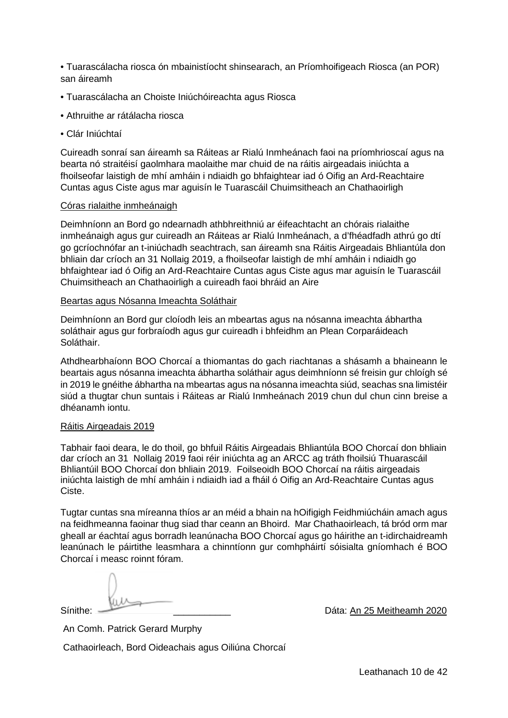• Tuarascálacha riosca ón mbainistíocht shinsearach, an Príomhoifigeach Riosca (an POR) san áireamh

- Tuarascálacha an Choiste Iniúchóireachta agus Riosca
- Athruithe ar rátálacha riosca
- Clár Iniúchtaí

Cuireadh sonraí san áireamh sa Ráiteas ar Rialú Inmheánach faoi na príomhrioscaí agus na bearta nó straitéisí gaolmhara maolaithe mar chuid de na ráitis airgeadais iniúchta a fhoilseofar laistigh de mhí amháin i ndiaidh go bhfaightear iad ó Oifig an Ard-Reachtaire Cuntas agus Ciste agus mar aguisín le Tuarascáil Chuimsitheach an Chathaoirligh

#### Córas rialaithe inmheánaigh

Deimhníonn an Bord go ndearnadh athbhreithniú ar éifeachtacht an chórais rialaithe inmheánaigh agus gur cuireadh an Ráiteas ar Rialú Inmheánach, a d'fhéadfadh athrú go dtí go gcríochnófar an t-iniúchadh seachtrach, san áireamh sna Ráitis Airgeadais Bhliantúla don bhliain dar críoch an 31 Nollaig 2019, a fhoilseofar laistigh de mhí amháin i ndiaidh go bhfaightear iad ó Oifig an Ard-Reachtaire Cuntas agus Ciste agus mar aguisín le Tuarascáil Chuimsitheach an Chathaoirligh a cuireadh faoi bhráid an Aire

#### Beartas agus Nósanna Imeachta Soláthair

Deimhníonn an Bord gur cloíodh leis an mbeartas agus na nósanna imeachta ábhartha soláthair agus gur forbraíodh agus gur cuireadh i bhfeidhm an Plean Corparáideach Soláthair.

Athdhearbhaíonn BOO Chorcaí a thiomantas do gach riachtanas a shásamh a bhaineann le beartais agus nósanna imeachta ábhartha soláthair agus deimhníonn sé freisin gur chloígh sé in 2019 le gnéithe ábhartha na mbeartas agus na nósanna imeachta siúd, seachas sna limistéir siúd a thugtar chun suntais i Ráiteas ar Rialú Inmheánach 2019 chun dul chun cinn breise a dhéanamh iontu.

#### Ráitis Airgeadais 2019

Tabhair faoi deara, le do thoil, go bhfuil Ráitis Airgeadais Bhliantúla BOO Chorcaí don bhliain dar críoch an 31 Nollaig 2019 faoi réir iniúchta ag an ARCC ag tráth fhoilsiú Thuarascáil Bhliantúil BOO Chorcaí don bhliain 2019. Foilseoidh BOO Chorcaí na ráitis airgeadais iniúchta laistigh de mhí amháin i ndiaidh iad a fháil ó Oifig an Ard-Reachtaire Cuntas agus Ciste.

Tugtar cuntas sna míreanna thíos ar an méid a bhain na hOifigigh Feidhmiúcháin amach agus na feidhmeanna faoinar thug siad thar ceann an Bhoird. Mar Chathaoirleach, tá bród orm mar gheall ar éachtaí agus borradh leanúnacha BOO Chorcaí agus go háirithe an t-idirchaidreamh leanúnach le páirtithe leasmhara a chinntíonn gur comhpháirtí sóisialta gníomhach é BOO Chorcaí i measc roinnt fóram.

Sínithe: <u>Cambridge Communication</u> Changes Communication Dáta: An 25 Meitheamh 2020

An Comh. Patrick Gerard Murphy

Cathaoirleach, Bord Oideachais agus Oiliúna Chorcaí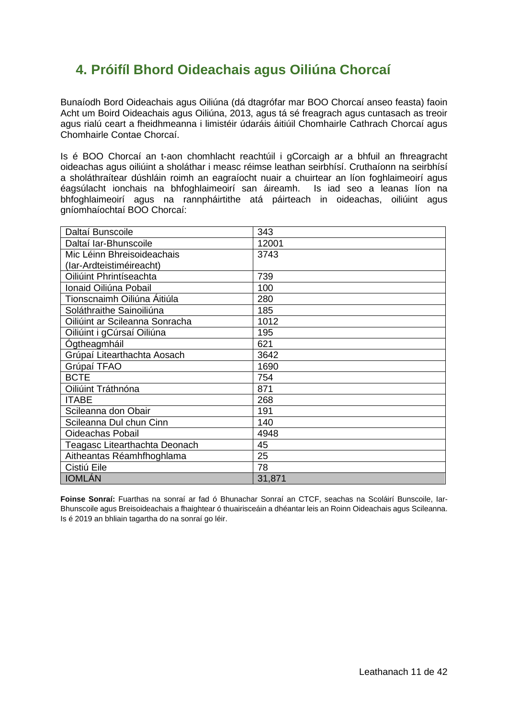# <span id="page-10-0"></span>**4. Próifíl Bhord Oideachais agus Oiliúna Chorcaí**

Bunaíodh Bord Oideachais agus Oiliúna (dá dtagrófar mar BOO Chorcaí anseo feasta) faoin Acht um Boird Oideachais agus Oiliúna, 2013, agus tá sé freagrach agus cuntasach as treoir agus rialú ceart a fheidhmeanna i limistéir údaráis áitiúil Chomhairle Cathrach Chorcaí agus Chomhairle Contae Chorcaí.

Is é BOO Chorcaí an t-aon chomhlacht reachtúil i gCorcaigh ar a bhfuil an fhreagracht oideachas agus oiliúint a sholáthar i measc réimse leathan seirbhísí. Cruthaíonn na seirbhísí a sholáthraítear dúshláin roimh an eagraíocht nuair a chuirtear an líon foghlaimeoirí agus éagsúlacht ionchais na bhfoghlaimeoirí san áireamh. Is iad seo a leanas líon na bhfoghlaimeoirí agus na rannpháirtithe atá páirteach in oideachas, oiliúint agus gníomhaíochtaí BOO Chorcaí:

| Daltaí Bunscoile               | 343    |
|--------------------------------|--------|
| Daltaí Iar-Bhunscoile          | 12001  |
| Mic Léinn Bhreisoideachais     | 3743   |
| (lar-Ardteistiméireacht)       |        |
| Oiliúint Phrintíseachta        | 739    |
| Ionaid Oiliúna Pobail          | 100    |
| Tionscnaimh Oiliúna Áitiúla    | 280    |
| Soláthraithe Sainoiliúna       | 185    |
| Oiliúint ar Scileanna Sonracha | 1012   |
| Oiliúint i gCúrsaí Oiliúna     | 195    |
| Ógtheagmháil                   | 621    |
| Grúpaí Litearthachta Aosach    | 3642   |
| Grúpaí TFAO                    | 1690   |
| <b>BCTE</b>                    | 754    |
| Oiliúint Tráthnóna             | 871    |
| <b>ITABE</b>                   | 268    |
| Scileanna don Obair            | 191    |
| Scileanna Dul chun Cinn        | 140    |
| <b>Oideachas Pobail</b>        | 4948   |
| Teagasc Litearthachta Deonach  | 45     |
| Aitheantas Réamhfhoghlama      | 25     |
| Cistiú Eile                    | 78     |
| <b>IOMLÁN</b>                  | 31,871 |

**Foinse Sonraí:** Fuarthas na sonraí ar fad ó Bhunachar Sonraí an CTCF, seachas na Scoláirí Bunscoile, Iar-Bhunscoile agus Breisoideachais a fhaightear ó thuairisceáin a dhéantar leis an Roinn Oideachais agus Scileanna. Is é 2019 an bhliain tagartha do na sonraí go léir.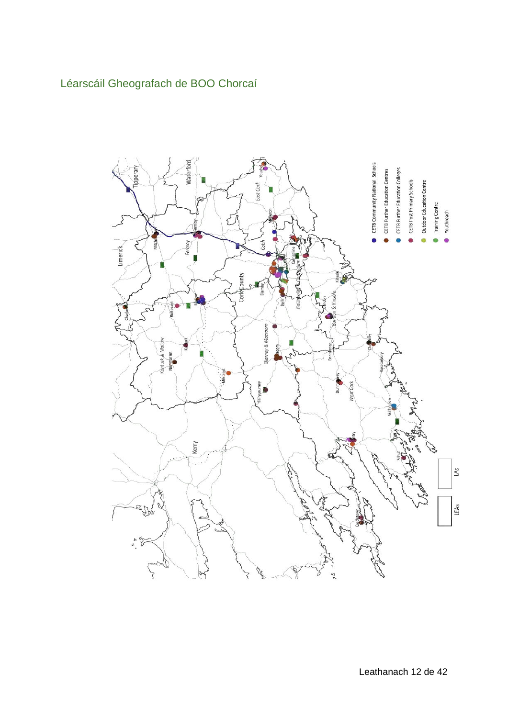# <span id="page-11-0"></span>Léarscáil Gheografach de BOO Chorcaí

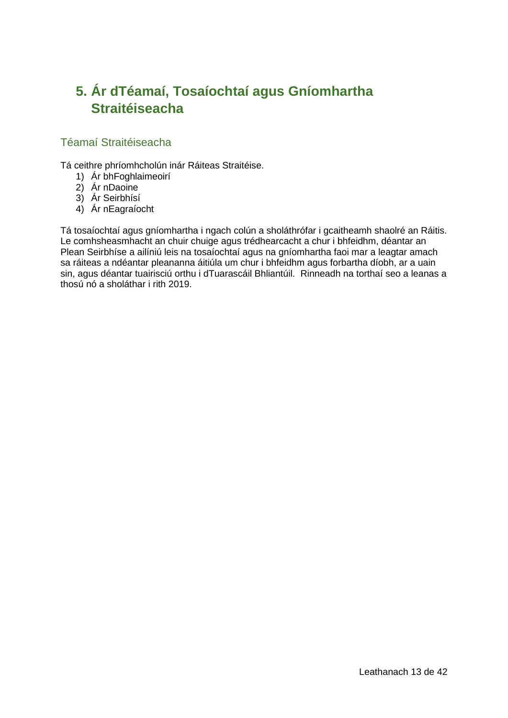# <span id="page-12-0"></span>**5. Ár dTéamaí, Tosaíochtaí agus Gníomhartha Straitéiseacha**

### <span id="page-12-1"></span>Téamaí Straitéiseacha

Tá ceithre phríomhcholún inár Ráiteas Straitéise.

- 1) Ár bhFoghlaimeoirí
- 2) Ár nDaoine
- 3) Ár Seirbhísí
- 4) Ár nEagraíocht

Tá tosaíochtaí agus gníomhartha i ngach colún a sholáthrófar i gcaitheamh shaolré an Ráitis. Le comhsheasmhacht an chuir chuige agus trédhearcacht a chur i bhfeidhm, déantar an Plean Seirbhíse a ailíniú leis na tosaíochtaí agus na gníomhartha faoi mar a leagtar amach sa ráiteas a ndéantar pleananna áitiúla um chur i bhfeidhm agus forbartha díobh, ar a uain sin, agus déantar tuairisciú orthu i dTuarascáil Bhliantúil. Rinneadh na torthaí seo a leanas a thosú nó a sholáthar i rith 2019.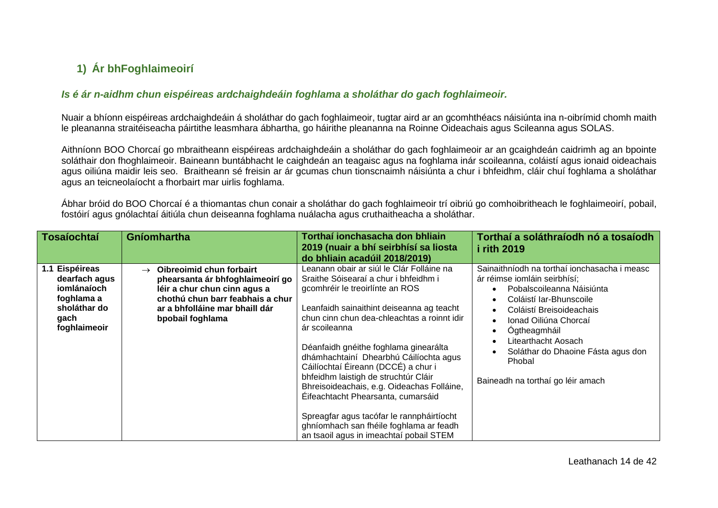# **1) Ár bhFoghlaimeoirí**

#### *Is é ár n-aidhm chun eispéireas ardchaighdeáin foghlama a sholáthar do gach foghlaimeoir.*

Nuair a bhíonn eispéireas ardchaighdeáin á sholáthar do gach foghlaimeoir, tugtar aird ar an gcomhthéacs náisiúnta ina n-oibrímid chomh maith le pleananna straitéiseacha páirtithe leasmhara ábhartha, go háirithe pleananna na Roinne Oideachais agus Scileanna agus SOLAS.

Aithníonn BOO Chorcaí go mbraitheann eispéireas ardchaighdeáin a sholáthar do gach foghlaimeoir ar an gcaighdeán caidrimh ag an bpointe soláthair don fhoghlaimeoir. Baineann buntábhacht le caighdeán an teagaisc agus na foghlama inár scoileanna, coláistí agus ionaid oideachais agus oiliúna maidir leis seo. Braitheann sé freisin ar ár gcumas chun tionscnaimh náisiúnta a chur i bhfeidhm, cláir chuí foghlama a sholáthar agus an teicneolaíocht a fhorbairt mar uirlis foghlama.

Ábhar bróid do BOO Chorcaí é a thiomantas chun conair a sholáthar do gach foghlaimeoir trí oibriú go comhoibritheach le foghlaimeoirí, pobail, fostóirí agus gnólachtaí áitiúla chun deiseanna foghlama nuálacha agus cruthaitheacha a sholáthar.

<span id="page-13-1"></span><span id="page-13-0"></span>

| <b>Tosaíochtaí</b>                                                                                   | Gníomhartha                                                                                                                                                                                             | Torthaí ionchasacha don bhliain<br>2019 (nuair a bhí seirbhísí sa liosta<br>do bhliain acadúil 2018/2019)                                                                                                                                                                                                                                                                                                                                                                                                                                                                                                                   | Torthaí a soláthraíodh nó a tosaíodh<br><i>i</i> rith 2019                                                                                                                                                                                                                                                            |
|------------------------------------------------------------------------------------------------------|---------------------------------------------------------------------------------------------------------------------------------------------------------------------------------------------------------|-----------------------------------------------------------------------------------------------------------------------------------------------------------------------------------------------------------------------------------------------------------------------------------------------------------------------------------------------------------------------------------------------------------------------------------------------------------------------------------------------------------------------------------------------------------------------------------------------------------------------------|-----------------------------------------------------------------------------------------------------------------------------------------------------------------------------------------------------------------------------------------------------------------------------------------------------------------------|
| 1.1 Eispéireas<br>dearfach agus<br>iomlánaíoch<br>foghlama a<br>sholáthar do<br>gach<br>foghlaimeoir | Oibreoimid chun forbairt<br>$\rightarrow$<br>phearsanta ár bhfoghlaimeoirí go<br>léir a chur chun cinn agus a<br>chothú chun barr feabhais a chur<br>ar a bhfolláine mar bhaill dár<br>bpobail foghlama | Leanann obair ar siúl le Clár Folláine na<br>Sraithe Sóisearaí a chur i bhfeidhm i<br>gcomhréir le treoirlínte an ROS<br>Leanfaidh sainaithint deiseanna ag teacht<br>chun cinn chun dea-chleachtas a roinnt idir<br>ár scoileanna<br>Déanfaidh gnéithe foghlama ginearálta<br>dhámhachtainí Dhearbhú Cáilíochta agus<br>Cáilíochtaí Éireann (DCCÉ) a chur i<br>bhfeidhm laistigh de struchtúr Cláir<br>Bhreisoideachais, e.g. Oideachas Folláine,<br>Éifeachtacht Phearsanta, cumarsáid<br>Spreagfar agus tacófar le rannpháirtíocht<br>ghníomhach san fhéile foghlama ar feadh<br>an tsaoil agus in imeachtaí pobail STEM | Sainaithníodh na torthaí ionchasacha i measc<br>ár réimse iomláin seirbhísí;<br>Pobalscoileanna Náisiúnta<br>Coláistí Iar-Bhunscoile<br>Coláistí Breisoideachais<br>Ionad Oiliúna Chorcaí<br>Ógtheagmháil<br>Litearthacht Aosach<br>Soláthar do Dhaoine Fásta agus don<br>Phobal<br>Baineadh na torthaí go léir amach |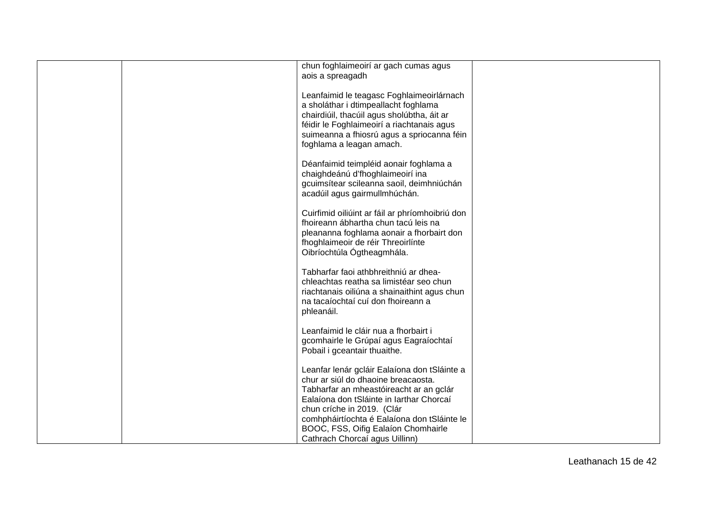|  | chun foghlaimeoirí ar gach cumas agus           |  |
|--|-------------------------------------------------|--|
|  | aois a spreagadh                                |  |
|  |                                                 |  |
|  |                                                 |  |
|  | Leanfaimid le teagasc Foghlaimeoirlárnach       |  |
|  | a sholáthar i dtimpeallacht foghlama            |  |
|  | chairdiúil, thacúil agus sholúbtha, áit ar      |  |
|  | féidir le Foghlaimeoirí a riachtanais agus      |  |
|  | suimeanna a fhiosrú agus a spriocanna féin      |  |
|  | foghlama a leagan amach.                        |  |
|  |                                                 |  |
|  |                                                 |  |
|  | Déanfaimid teimpléid aonair foghlama a          |  |
|  | chaighdeánú d'fhoghlaimeoirí ina                |  |
|  | gcuimsítear scileanna saoil, deimhniúchán       |  |
|  | acadúil agus gairmullmhúchán.                   |  |
|  |                                                 |  |
|  | Cuirfimid oiliúint ar fáil ar phríomhoibriú don |  |
|  |                                                 |  |
|  | fhoireann ábhartha chun tacú leis na            |  |
|  | pleananna foghlama aonair a fhorbairt don       |  |
|  | fhoghlaimeoir de réir Threoirlínte              |  |
|  | Oibríochtúla Ógtheagmhála.                      |  |
|  |                                                 |  |
|  | Tabharfar faoi athbhreithniú ar dhea-           |  |
|  | chleachtas reatha sa limistéar seo chun         |  |
|  | riachtanais oiliúna a shainaithint agus chun    |  |
|  |                                                 |  |
|  | na tacaíochtaí cuí don fhoireann a              |  |
|  | phleanáil.                                      |  |
|  |                                                 |  |
|  | Leanfaimid le cláir nua a fhorbairt i           |  |
|  | gcomhairle le Grúpaí agus Eagraíochtaí          |  |
|  | Pobail i gceantair thuaithe.                    |  |
|  |                                                 |  |
|  | Leanfar lenár gcláir Ealaíona don tSláinte a    |  |
|  | chur ar siúl do dhaoine breacaosta.             |  |
|  |                                                 |  |
|  | Tabharfar an mheastóireacht ar an gclár         |  |
|  | Ealaíona don tSláinte in Iarthar Chorcaí        |  |
|  | chun críche in 2019. (Clár                      |  |
|  | comhpháirtíochta é Ealaíona don tSláinte le     |  |
|  | BOOC, FSS, Oifig Ealaíon Chomhairle             |  |
|  | Cathrach Chorcaí agus Uillinn)                  |  |
|  |                                                 |  |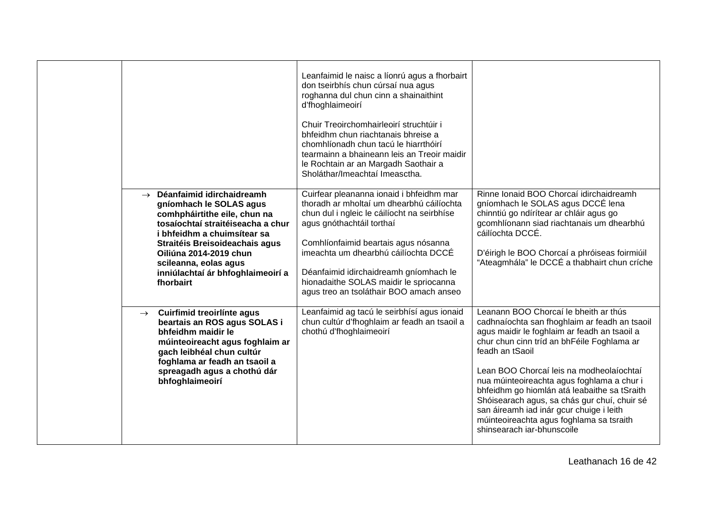| Déanfaimid idirchaidreamh<br>$\rightarrow$<br>gníomhach le SOLAS agus<br>comhpháirtithe eile, chun na<br>tosaíochtaí straitéiseacha a chur<br>i bhfeidhm a chuimsítear sa<br>Straitéis Breisoideachais agus<br>Oiliúna 2014-2019 chun<br>scileanna, eolas agus<br>inniúlachtaí ár bhfoghlaimeoirí a<br>fhorbairt | Leanfaimid le naisc a líonrú agus a fhorbairt<br>don tseirbhís chun cúrsaí nua agus<br>roghanna dul chun cinn a shainaithint<br>d'fhoghlaimeoirí<br>Chuir Treoirchomhairleoirí struchtúir i<br>bhfeidhm chun riachtanais bhreise a<br>chomhlíonadh chun tacú le hiarrthóirí<br>tearmainn a bhaineann leis an Treoir maidir<br>le Rochtain ar an Margadh Saothair a<br>Sholáthar/Imeachtaí Imeasctha.<br>Cuirfear pleananna ionaid i bhfeidhm mar<br>thoradh ar mholtaí um dhearbhú cáilíochta<br>chun dul i ngleic le cáilíocht na seirbhíse<br>agus gnóthachtáil torthaí<br>Comhlíonfaimid beartais agus nósanna<br>imeachta um dhearbhú cáilíochta DCCÉ<br>Déanfaimid idirchaidreamh gníomhach le<br>hionadaithe SOLAS maidir le spriocanna<br>agus treo an tsoláthair BOO amach anseo | Rinne Ionaid BOO Chorcaí idirchaidreamh<br>gníomhach le SOLAS agus DCCÉ lena<br>chinntiú go ndírítear ar chláir agus go<br>gcomhlíonann siad riachtanais um dhearbhú<br>cáilíochta DCCÉ.<br>D'éirigh le BOO Chorcaí a phróiseas foirmiúil<br>"Ateagmhála" le DCCÉ a thabhairt chun críche                                                                                                                                                                                                                               |
|------------------------------------------------------------------------------------------------------------------------------------------------------------------------------------------------------------------------------------------------------------------------------------------------------------------|------------------------------------------------------------------------------------------------------------------------------------------------------------------------------------------------------------------------------------------------------------------------------------------------------------------------------------------------------------------------------------------------------------------------------------------------------------------------------------------------------------------------------------------------------------------------------------------------------------------------------------------------------------------------------------------------------------------------------------------------------------------------------------------|-------------------------------------------------------------------------------------------------------------------------------------------------------------------------------------------------------------------------------------------------------------------------------------------------------------------------------------------------------------------------------------------------------------------------------------------------------------------------------------------------------------------------|
| Cuirfimid treoirlínte agus<br>$\rightarrow$<br>beartais an ROS agus SOLAS i<br>bhfeidhm maidir le<br>múinteoireacht agus foghlaim ar<br>gach leibhéal chun cultúr<br>foghlama ar feadh an tsaoil a<br>spreagadh agus a chothú dár<br>bhfoghlaimeoirí                                                             | Leanfaimid ag tacú le seirbhísí agus ionaid<br>chun cultúr d'fhoghlaim ar feadh an tsaoil a<br>chothú d'fhoghlaimeoirí                                                                                                                                                                                                                                                                                                                                                                                                                                                                                                                                                                                                                                                                   | Leanann BOO Chorcaí le bheith ar thús<br>cadhnaíochta san fhoghlaim ar feadh an tsaoil<br>agus maidir le foghlaim ar feadh an tsaoil a<br>chur chun cinn tríd an bhFéile Foghlama ar<br>feadh an tSaoil<br>Lean BOO Chorcaí leis na modheolaíochtaí<br>nua múinteoireachta agus foghlama a chur i<br>bhfeidhm go hiomlán atá leabaithe sa tSraith<br>Shóisearach agus, sa chás gur chuí, chuir sé<br>san áireamh iad inár gcur chuige i leith<br>múinteoireachta agus foghlama sa tsraith<br>shinsearach iar-bhunscoile |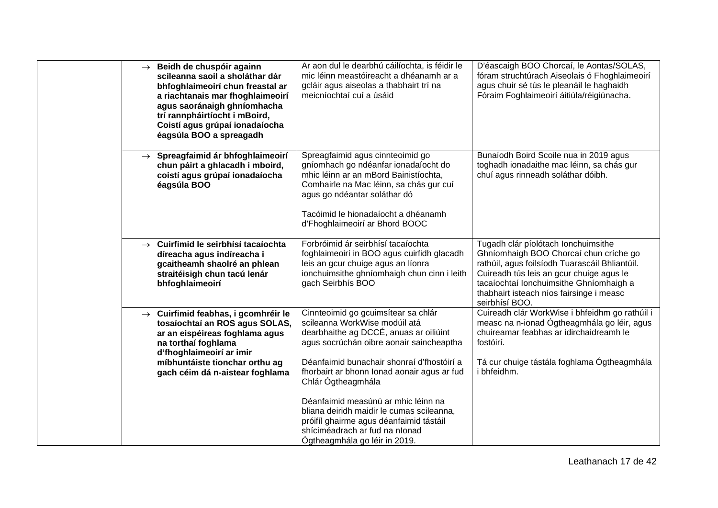|  | $\rightarrow$ Beidh de chuspóir againn<br>scileanna saoil a sholáthar dár<br>bhfoghlaimeoirí chun freastal ar<br>a riachtanais mar fhoghlaimeoirí<br>agus saoránaigh ghníomhacha<br>trí rannpháirtíocht i mBoird,<br>Coistí agus grúpaí ionadaíocha<br>éagsúla BOO a spreagadh | Ar aon dul le dearbhú cáilíochta, is féidir le<br>mic léinn meastóireacht a dhéanamh ar a<br>gcláir agus aiseolas a thabhairt trí na<br>meicníochtaí cuí a úsáid                                                                                                                                                                                                                                                                                                                | D'éascaigh BOO Chorcaí, le Aontas/SOLAS,<br>fóram struchtúrach Aiseolais ó Fhoghlaimeoirí<br>agus chuir sé tús le pleanáil le haghaidh<br>Fóraim Foghlaimeoirí áitiúla/réigiúnacha.                                                                                                  |
|--|--------------------------------------------------------------------------------------------------------------------------------------------------------------------------------------------------------------------------------------------------------------------------------|---------------------------------------------------------------------------------------------------------------------------------------------------------------------------------------------------------------------------------------------------------------------------------------------------------------------------------------------------------------------------------------------------------------------------------------------------------------------------------|--------------------------------------------------------------------------------------------------------------------------------------------------------------------------------------------------------------------------------------------------------------------------------------|
|  | $\rightarrow$ Spreagfaimid ár bhfoghlaimeoirí<br>chun páirt a ghlacadh i mboird,<br>coistí agus grúpaí ionadaíocha<br>éagsúla BOO                                                                                                                                              | Spreagfaimid agus cinnteoimid go<br>gníomhach go ndéanfar ionadaíocht do<br>mhic léinn ar an mBord Bainistíochta,<br>Comhairle na Mac léinn, sa chás gur cuí<br>agus go ndéantar soláthar dó<br>Tacóimid le hionadaíocht a dhéanamh<br>d'Fhoghlaimeoirí ar Bhord BOOC                                                                                                                                                                                                           | Bunaíodh Boird Scoile nua in 2019 agus<br>toghadh ionadaithe mac léinn, sa chás gur<br>chuí agus rinneadh soláthar dóibh.                                                                                                                                                            |
|  | $\rightarrow$ Cuirfimid le seirbhísí tacaíochta<br>díreacha agus indíreacha i<br>gcaitheamh shaolré an phlean<br>straitéisigh chun tacú lenár<br>bhfoghlaimeoirí                                                                                                               | Forbróimid ár seirbhísí tacaíochta<br>foghlaimeoirí in BOO agus cuirfidh glacadh<br>leis an gcur chuige agus an líonra<br>ionchuimsithe ghníomhaigh chun cinn i leith<br>gach Seirbhís BOO                                                                                                                                                                                                                                                                                      | Tugadh clár píolótach lonchuimsithe<br>Ghníomhaigh BOO Chorcaí chun críche go<br>rathúil, agus foilsíodh Tuarascáil Bhliantúil.<br>Cuireadh tús leis an gcur chuige agus le<br>tacaíochtaí Ionchuimsithe Ghníomhaigh a<br>thabhairt isteach níos fairsinge i measc<br>seirbhísí BOO. |
|  | $\rightarrow$ Cuirfimid feabhas, i gcomhréir le<br>tosaíochtaí an ROS agus SOLAS,<br>ar an eispéireas foghlama agus<br>na torthaí foghlama<br>d'fhoghlaimeoirí ar imir<br>míbhuntáiste tionchar orthu ag<br>gach céim dá n-aistear foghlama                                    | Cinnteoimid go gcuimsítear sa chlár<br>scileanna WorkWise modúil atá<br>dearbhaithe ag DCCÉ, anuas ar oiliúint<br>agus socrúchán oibre aonair saincheaptha<br>Déanfaimid bunachair shonraí d'fhostóirí a<br>fhorbairt ar bhonn Ionad aonair agus ar fud<br>Chlár Ógtheagmhála<br>Déanfaimid measúnú ar mhic léinn na<br>bliana deiridh maidir le cumas scileanna,<br>próifíl ghairme agus déanfaimid tástáil<br>shíciméadrach ar fud na nIonad<br>Ógtheagmhála go léir in 2019. | Cuireadh clár WorkWise i bhfeidhm go rathúil i<br>measc na n-ionad Ógtheagmhála go léir, agus<br>chuireamar feabhas ar idirchaidreamh le<br>fostóirí.<br>Tá cur chuige tástála foghlama Ógtheagmhála<br>i bhfeidhm.                                                                  |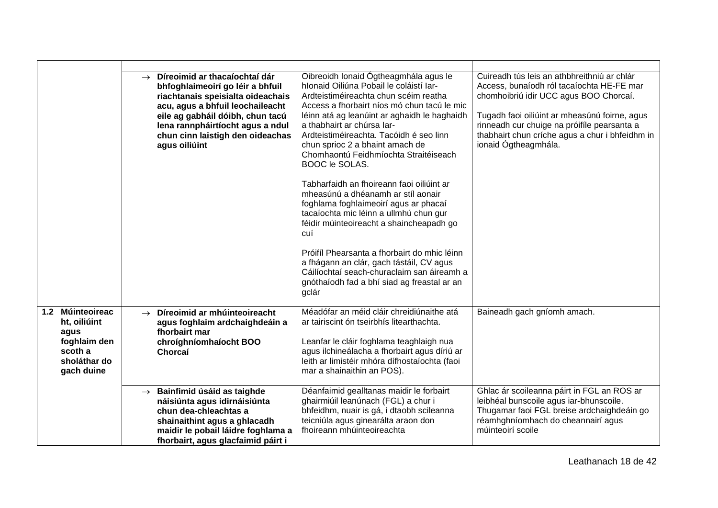|                                                                                                      | Díreoimid ar thacaíochtaí dár<br>$\rightarrow$<br>bhfoghlaimeoirí go léir a bhfuil<br>riachtanais speisialta oideachais<br>acu, agus a bhfuil leochaileacht<br>eile ag gabháil dóibh, chun tacú<br>lena rannpháirtíocht agus a ndul<br>chun cinn laistigh den oideachas<br>agus oiliúint | Oibreoidh Ionaid Ógtheagmhála agus le<br>hlonaid Oiliúna Pobail le coláistí Iar-<br>Ardteistiméireachta chun scéim reatha<br>Access a fhorbairt níos mó chun tacú le mic<br>léinn atá ag leanúint ar aghaidh le haghaidh<br>a thabhairt ar chúrsa Iar-<br>Ardteistiméireachta. Tacóidh é seo linn<br>chun sprioc 2 a bhaint amach de<br>Chomhaontú Feidhmíochta Straitéiseach<br>BOOC le SOLAS. | Cuireadh tús leis an athbhreithniú ar chlár<br>Access, bunaíodh ról tacaíochta HE-FE mar<br>chomhoibriú idir UCC agus BOO Chorcaí.<br>Tugadh faoi oiliúint ar mheasúnú foirne, agus<br>rinneadh cur chuige na próifíle pearsanta a<br>thabhairt chun críche agus a chur i bhfeidhm in<br>ionaid Ógtheagmhála. |
|------------------------------------------------------------------------------------------------------|------------------------------------------------------------------------------------------------------------------------------------------------------------------------------------------------------------------------------------------------------------------------------------------|-------------------------------------------------------------------------------------------------------------------------------------------------------------------------------------------------------------------------------------------------------------------------------------------------------------------------------------------------------------------------------------------------|---------------------------------------------------------------------------------------------------------------------------------------------------------------------------------------------------------------------------------------------------------------------------------------------------------------|
|                                                                                                      |                                                                                                                                                                                                                                                                                          | Tabharfaidh an fhoireann faoi oiliúint ar<br>mheasúnú a dhéanamh ar stíl aonair<br>foghlama foghlaimeoirí agus ar phacaí<br>tacaíochta mic léinn a ullmhú chun gur<br>féidir múinteoireacht a shaincheapadh go<br>cuí                                                                                                                                                                           |                                                                                                                                                                                                                                                                                                               |
|                                                                                                      |                                                                                                                                                                                                                                                                                          | Próifíl Phearsanta a fhorbairt do mhic léinn<br>a fhágann an clár, gach tástáil, CV agus<br>Cáilíochtaí seach-churaclaim san áireamh a<br>gnóthaíodh fad a bhí siad ag freastal ar an<br>gclár                                                                                                                                                                                                  |                                                                                                                                                                                                                                                                                                               |
| Múinteoireac<br>1.2<br>ht, oiliúint<br>agus<br>foghlaim den<br>scoth a<br>sholáthar do<br>gach duine | Díreoimid ar mhúinteoireacht<br>$\rightarrow$<br>agus foghlaim ardchaighdeáin a<br>fhorbairt mar<br>chroíghníomhaíocht BOO<br>Chorcaí                                                                                                                                                    | Méadófar an méid cláir chreidiúnaithe atá<br>ar tairiscint ón tseirbhís litearthachta.<br>Leanfar le cláir foghlama teaghlaigh nua<br>agus ilchineálacha a fhorbairt agus díriú ar<br>leith ar limistéir mhóra dífhostaíochta (faoi<br>mar a shainaithin an POS).                                                                                                                               | Baineadh gach gníomh amach.                                                                                                                                                                                                                                                                                   |
|                                                                                                      | Bainfimid úsáid as taighde<br>$\rightarrow$<br>náisiúnta agus idirnáisiúnta<br>chun dea-chleachtas a<br>shainaithint agus a ghlacadh<br>maidir le pobail láidre foghlama a<br>fhorbairt, agus glacfaimid páirt i                                                                         | Déanfaimid gealltanas maidir le forbairt<br>ghairmiúil leanúnach (FGL) a chur i<br>bhfeidhm, nuair is gá, i dtaobh scileanna<br>teicniúla agus ginearálta araon don<br>fhoireann mhúinteoireachta                                                                                                                                                                                               | Ghlac ár scoileanna páirt in FGL an ROS ar<br>leibhéal bunscoile agus iar-bhunscoile.<br>Thugamar faoi FGL breise ardchaighdeáin go<br>réamhghníomhach do cheannairí agus<br>múinteoirí scoile                                                                                                                |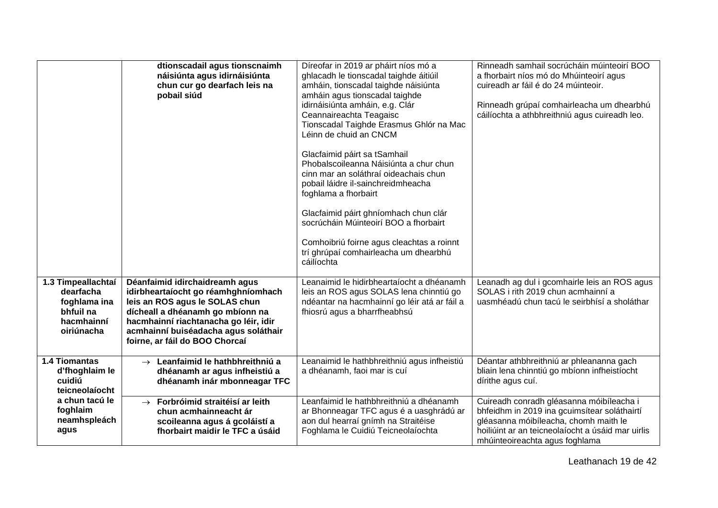|                                                                                          | dtionscadail agus tionscnaimh<br>náisiúnta agus idirnáisiúnta<br>chun cur go dearfach leis na<br>pobail siúd                                                                                                                                                   | Díreofar in 2019 ar pháirt níos mó a<br>ghlacadh le tionscadal taighde áitiúil<br>amháin, tionscadal taighde náisiúnta<br>amháin agus tionscadal taighde<br>idirnáisiúnta amháin, e.g. Clár<br>Ceannaireachta Teagaisc<br>Tionscadal Taighde Erasmus Ghlór na Mac<br>Léinn de chuid an CNCM<br>Glacfaimid páirt sa tSamhail<br>Phobalscoileanna Náisiúnta a chur chun<br>cinn mar an soláthraí oideachais chun<br>pobail láidre il-sainchreidmheacha<br>foghlama a fhorbairt<br>Glacfaimid páirt ghníomhach chun clár<br>socrúcháin Múinteoirí BOO a fhorbairt<br>Comhoibriú foirne agus cleachtas a roinnt<br>trí ghrúpaí comhairleacha um dhearbhú<br>cáilíochta | Rinneadh samhail socrúcháin múinteoirí BOO<br>a fhorbairt níos mó do Mhúinteoirí agus<br>cuireadh ar fáil é do 24 múinteoir.<br>Rinneadh grúpaí comhairleacha um dhearbhú<br>cáilíochta a athbhreithniú agus cuireadh leo. |
|------------------------------------------------------------------------------------------|----------------------------------------------------------------------------------------------------------------------------------------------------------------------------------------------------------------------------------------------------------------|--------------------------------------------------------------------------------------------------------------------------------------------------------------------------------------------------------------------------------------------------------------------------------------------------------------------------------------------------------------------------------------------------------------------------------------------------------------------------------------------------------------------------------------------------------------------------------------------------------------------------------------------------------------------|----------------------------------------------------------------------------------------------------------------------------------------------------------------------------------------------------------------------------|
| 1.3 Timpeallachtaí<br>dearfacha<br>foghlama ina<br>bhfuil na<br>hacmhainní<br>oiriúnacha | Déanfaimid idirchaidreamh agus<br>idirbheartaíocht go réamhghníomhach<br>leis an ROS agus le SOLAS chun<br>dícheall a dhéanamh go mbíonn na<br>hacmhainní riachtanacha go léir, idir<br>acmhainní buiséadacha agus soláthair<br>foirne, ar fáil do BOO Chorcaí | Leanaimid le hidirbheartaíocht a dhéanamh<br>leis an ROS agus SOLAS lena chinntiú go<br>ndéantar na hacmhainní go léir atá ar fáil a<br>fhiosrú agus a bharrfheabhsú                                                                                                                                                                                                                                                                                                                                                                                                                                                                                               | Leanadh ag dul i gcomhairle leis an ROS agus<br>SOLAS i rith 2019 chun acmhainní a<br>uasmhéadú chun tacú le seirbhísí a sholáthar                                                                                         |
| 1.4 Tiomantas<br>d'fhoghlaim le<br>cuidiú<br>teicneolaíocht                              | $\rightarrow$ Leanfaimid le hathbhreithniú a<br>dhéanamh ar agus infheistiú a<br>dhéanamh inár mbonneagar TFC                                                                                                                                                  | Leanaimid le hathbhreithniú agus infheistiú<br>a dhéanamh, faoi mar is cuí                                                                                                                                                                                                                                                                                                                                                                                                                                                                                                                                                                                         | Déantar athbhreithniú ar phleananna gach<br>bliain lena chinntiú go mbíonn infheistíocht<br>dírithe agus cuí.                                                                                                              |
| a chun tacú le<br>foghlaim<br>neamhspleách<br>agus                                       | Forbróimid straitéisí ar leith<br>$\rightarrow$<br>chun acmhainneacht ár<br>scoileanna agus á gcoláistí a<br>fhorbairt maidir le TFC a úsáid                                                                                                                   | Leanfaimid le hathbhreithniú a dhéanamh<br>ar Bhonneagar TFC agus é a uasghrádú ar<br>aon dul hearraí gnímh na Straitéise<br>Foghlama le Cuidiú Teicneolaíochta                                                                                                                                                                                                                                                                                                                                                                                                                                                                                                    | Cuireadh conradh gléasanna móibíleacha i<br>bhfeidhm in 2019 ina gcuimsítear soláthairtí<br>gléasanna móibíleacha, chomh maith le<br>hoiliúint ar an teicneolaíocht a úsáid mar uirlis<br>mhúinteoireachta agus foghlama   |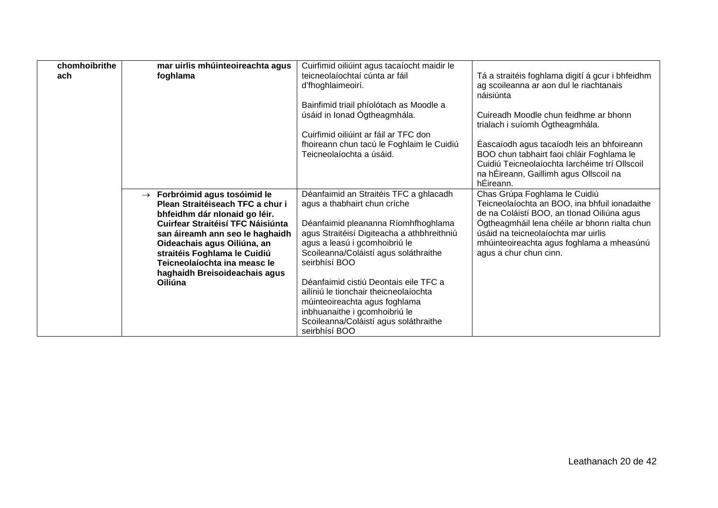| chomhoibrithe | mar uirlis mhúinteoireachta agus                                   | Cuirfimid oiliúint agus tacaíocht maidir le |                                                                                             |
|---------------|--------------------------------------------------------------------|---------------------------------------------|---------------------------------------------------------------------------------------------|
| ach           | foghlama                                                           | teicneolaíochtaí cúnta ar fáil              | Tá a straitéis foghlama digití á gcur i bhfeidhm                                            |
|               |                                                                    | d'fhoghlaimeoirí.                           | ag scoileanna ar aon dul le riachtanais                                                     |
|               |                                                                    |                                             | náisiúnta                                                                                   |
|               |                                                                    | Bainfimid triail phíolótach as Moodle a     |                                                                                             |
|               |                                                                    | úsáid in Ionad Ógtheagmhála.                | Cuireadh Moodle chun feidhme ar bhonn                                                       |
|               |                                                                    |                                             | trialach i suíomh Ógtheagmhála.                                                             |
|               |                                                                    | Cuirfimid oiliúint ar fáil ar TFC don       |                                                                                             |
|               |                                                                    | fhoireann chun tacú le Foghlaim le Cuidiú   | Éascaíodh agus tacaíodh leis an bhfoireann                                                  |
|               |                                                                    | Teicneolaíochta a úsáid.                    | BOO chun tabhairt faoi chláir Foghlama le                                                   |
|               |                                                                    |                                             | Cuidiú Teicneolaíochta Iarchéime trí Ollscoil                                               |
|               |                                                                    |                                             | na hÉireann, Gaillimh agus Ollscoil na                                                      |
|               |                                                                    |                                             | hÉireann.                                                                                   |
|               | $\rightarrow$ Forbróimid agus tosóimid le                          | Déanfaimid an Straitéis TFC a ghlacadh      | Chas Grúpa Foghlama le Cuidiú                                                               |
|               | Plean Straitéiseach TFC a chur i                                   | agus a thabhairt chun críche                | Teicneolaíochta an BOO, ina bhfuil ionadaithe                                               |
|               | bhfeidhm dár nIonaid go léir.<br>Cuirfear Straitéisí TFC Náisiúnta | Déanfaimid pleananna Ríomhfhoghlama         | de na Coláistí BOO, an tIonad Oiliúna agus<br>Ógtheagmháil lena chéile ar bhonn rialta chun |
|               |                                                                    | agus Straitéisí Digiteacha a athbhreithniú  | úsáid na teicneolaíochta mar uirlis                                                         |
|               | san áireamh ann seo le haghaidh<br>Oideachais agus Oiliúna, an     | agus a leasú i gcomhoibriú le               | mhúinteoireachta agus foghlama a mheasúnú                                                   |
|               | straitéis Foghlama le Cuidiú                                       | Scoileanna/Coláistí agus soláthraithe       | agus a chur chun cinn.                                                                      |
|               | Teicneolaíochta ina measc le                                       | seirbhísí BOO                               |                                                                                             |
|               | haghaidh Breisoideachais agus                                      |                                             |                                                                                             |
|               | Oiliúna                                                            | Déanfaimid cistiú Deontais eile TFC a       |                                                                                             |
|               |                                                                    | ailíniú le tionchair theicneolaíochta       |                                                                                             |
|               |                                                                    | múinteoireachta agus foghlama               |                                                                                             |
|               |                                                                    | inbhuanaithe i gcomhoibriú le               |                                                                                             |
|               |                                                                    | Scoileanna/Coláistí agus soláthraithe       |                                                                                             |
|               |                                                                    | seirbhísí BOO                               |                                                                                             |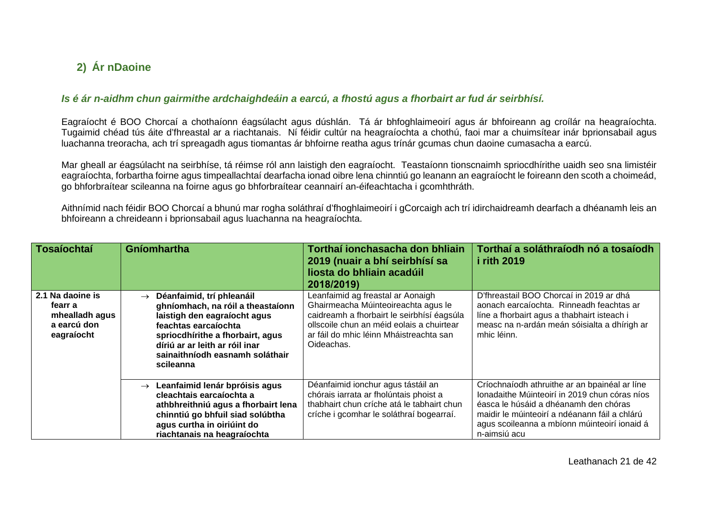## **2) Ár nDaoine**

#### *Is é ár n-aidhm chun gairmithe ardchaighdeáin a earcú, a fhostú agus a fhorbairt ar fud ár seirbhísí.*

Eagraíocht é BOO Chorcaí a chothaíonn éagsúlacht agus dúshlán. Tá ár bhfoghlaimeoirí agus ár bhfoireann ag croílár na heagraíochta. Tugaimid chéad tús áite d'fhreastal ar a riachtanais. Ní féidir cultúr na heagraíochta a chothú, faoi mar a chuimsítear inár bprionsabail agus luachanna treoracha, ach trí spreagadh agus tiomantas ár bhfoirne reatha agus trínár gcumas chun daoine cumasacha a earcú.

Mar gheall ar éagsúlacht na seirbhíse, tá réimse ról ann laistigh den eagraíocht. Teastaíonn tionscnaimh spriocdhírithe uaidh seo sna limistéir eagraíochta, forbartha foirne agus timpeallachtaí dearfacha ionad oibre lena chinntiú go leanann an eagraíocht le foireann den scoth a choimeád, go bhforbraítear scileanna na foirne agus go bhforbraítear ceannairí an-éifeachtacha i gcomhthráth.

Aithnímid nach féidir BOO Chorcaí a bhunú mar rogha soláthraí d'fhoghlaimeoirí i gCorcaigh ach trí idirchaidreamh dearfach a dhéanamh leis an bhfoireann a chreideann i bprionsabail agus luachanna na heagraíochta.

<span id="page-20-1"></span><span id="page-20-0"></span>

| <b>Tosaíochtaí</b>                                                         | Gníomhartha                                                                                                                                                                                                                                                   | Torthaí ionchasacha don bhliain<br>2019 (nuair a bhí seirbhísí sa<br>liosta do bhliain acadúil<br>2018/2019)                                                                                                                 | Torthaí a soláthraíodh nó a tosaíodh<br><i>i</i> rith 2019                                                                                                                                                                                               |
|----------------------------------------------------------------------------|---------------------------------------------------------------------------------------------------------------------------------------------------------------------------------------------------------------------------------------------------------------|------------------------------------------------------------------------------------------------------------------------------------------------------------------------------------------------------------------------------|----------------------------------------------------------------------------------------------------------------------------------------------------------------------------------------------------------------------------------------------------------|
| 2.1 Na daoine is<br>fearr a<br>mhealladh agus<br>a earcú don<br>eagraíocht | Déanfaimid, trí phleanáil<br>$\rightarrow$<br>ghníomhach, na róil a theastaíonn<br>laistigh den eagraíocht agus<br>feachtas earcaíochta<br>spriocdhirithe a fhorbairt, agus<br>díriú ar ar leith ar róil inar<br>sainaithníodh easnamh soláthair<br>scileanna | Leanfaimid ag freastal ar Aonaigh<br>Ghairmeacha Múinteoireachta agus le<br>caidreamh a fhorbairt le seirbhísí éagsúla<br>ollscoile chun an méid eolais a chuirtear<br>ar fáil do mhic léinn Mháistreachta san<br>Oideachas. | D'fhreastail BOO Chorcaí in 2019 ar dhá<br>aonach earcaíochta. Rinneadh feachtas ar<br>líne a fhorbairt agus a thabhairt isteach i<br>measc na n-ardán meán sóisialta a dhírigh ar<br>mhic léinn.                                                        |
|                                                                            | Leanfaimid lenár bpróisis agus<br>$\rightarrow$<br>cleachtais earcaíochta a<br>athbhreithniú agus a fhorbairt lena<br>chinntiú go bhfuil siad solúbtha<br>agus curtha in oiriúint do<br>riachtanais na heagraíochta                                           | Déanfaimid ionchur agus tástáil an<br>chórais iarrata ar fholúntais phoist a<br>thabhairt chun críche atá le tabhairt chun<br>críche i gcomhar le soláthraí bogearraí.                                                       | Críochnaíodh athruithe ar an bpainéal ar líne<br>Ionadaithe Múinteoirí in 2019 chun córas níos<br>éasca le húsáid a dhéanamh den chóras<br>maidir le múinteoirí a ndéanann fáil a chlárú<br>agus scoileanna a mbíonn múinteoirí ionaid á<br>n-aimsiú acu |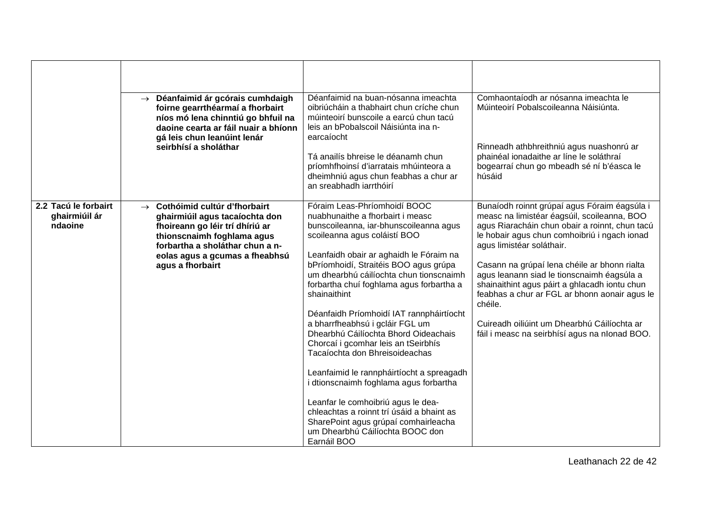|                                                  | Déanfaimid ár gcórais cumhdaigh<br>$\rightarrow$<br>foirne gearrthéarmaí a fhorbairt<br>níos mó lena chinntiú go bhfuil na<br>daoine cearta ar fáil nuair a bhíonn<br>gá leis chun leanúint lenár<br>seirbhísí a sholáthar                | Déanfaimid na buan-nósanna imeachta<br>oibriúcháin a thabhairt chun críche chun<br>múinteoirí bunscoile a earcú chun tacú<br>leis an bPobalscoil Náisiúnta ina n-<br>earcaíocht<br>Tá anailís bhreise le déanamh chun<br>príomhfhoinsí d'iarratais mhúinteora a<br>dheimhniú agus chun feabhas a chur ar<br>an sreabhadh iarrthóirí                                                                                                                                                                                                                                                                                                                                                                                                                                                                       | Comhaontaíodh ar nósanna imeachta le<br>Múinteoirí Pobalscoileanna Náisiúnta.<br>Rinneadh athbhreithniú agus nuashonrú ar<br>phainéal ionadaithe ar líne le soláthraí<br>bogearraí chun go mbeadh sé ní b'éasca le<br>húsáid                                                                                                                                                                                                                                                                                                          |
|--------------------------------------------------|-------------------------------------------------------------------------------------------------------------------------------------------------------------------------------------------------------------------------------------------|-----------------------------------------------------------------------------------------------------------------------------------------------------------------------------------------------------------------------------------------------------------------------------------------------------------------------------------------------------------------------------------------------------------------------------------------------------------------------------------------------------------------------------------------------------------------------------------------------------------------------------------------------------------------------------------------------------------------------------------------------------------------------------------------------------------|---------------------------------------------------------------------------------------------------------------------------------------------------------------------------------------------------------------------------------------------------------------------------------------------------------------------------------------------------------------------------------------------------------------------------------------------------------------------------------------------------------------------------------------|
| 2.2 Tacú le forbairt<br>ghairmiúil ár<br>ndaoine | Cothóimid cultúr d'fhorbairt<br>$\rightarrow$<br>ghairmiúil agus tacaíochta don<br>fhoireann go léir trí dhíriú ar<br>thionscnaimh foghlama agus<br>forbartha a sholáthar chun a n-<br>eolas agus a gcumas a fheabhsú<br>agus a fhorbairt | Fóraim Leas-Phríomhoidí BOOC<br>nuabhunaithe a fhorbairt i measc<br>bunscoileanna, iar-bhunscoileanna agus<br>scoileanna agus coláistí BOO<br>Leanfaidh obair ar aghaidh le Fóraim na<br>bPríomhoidí, Straitéis BOO agus grúpa<br>um dhearbhú cáilíochta chun tionscnaimh<br>forbartha chuí foghlama agus forbartha a<br>shainaithint<br>Déanfaidh Príomhoidí IAT rannpháirtíocht<br>a bharrfheabhsú i gcláir FGL um<br>Dhearbhú Cáilíochta Bhord Oideachais<br>Chorcaí i gcomhar leis an tSeirbhís<br>Tacaíochta don Bhreisoideachas<br>Leanfaimid le rannpháirtíocht a spreagadh<br>i dtionscnaimh foghlama agus forbartha<br>Leanfar le comhoibriú agus le dea-<br>chleachtas a roinnt trí úsáid a bhaint as<br>SharePoint agus grúpaí comhairleacha<br>um Dhearbhú Cáilíochta BOOC don<br>Earnáil BOO | Bunaíodh roinnt grúpaí agus Fóraim éagsúla i<br>measc na limistéar éagsúil, scoileanna, BOO<br>agus Riaracháin chun obair a roinnt, chun tacú<br>le hobair agus chun comhoibriú i ngach ionad<br>agus limistéar soláthair.<br>Casann na grúpaí lena chéile ar bhonn rialta<br>agus leanann siad le tionscnaimh éagsúla a<br>shainaithint agus páirt a ghlacadh iontu chun<br>feabhas a chur ar FGL ar bhonn aonair agus le<br>chéile.<br>Cuireadh oiliúint um Dhearbhú Cáilíochta ar<br>fáil i measc na seirbhísí agus na nIonad BOO. |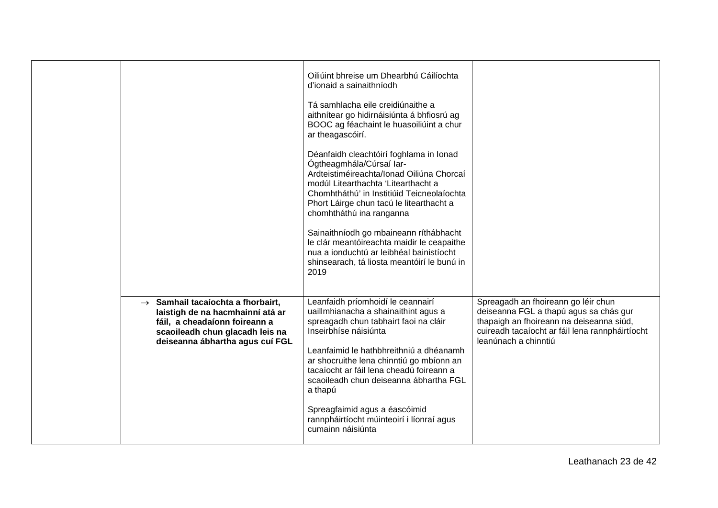|                                                                                                                                                                                             | Oiliúint bhreise um Dhearbhú Cáilíochta<br>d'ionaid a sainaithníodh<br>Tá samhlacha eile creidiúnaithe a<br>aithnítear go hidirnáisiúnta á bhfiosrú ag<br>BOOC ag féachaint le huasoiliúint a chur<br>ar theagascóirí.<br>Déanfaidh cleachtóirí foghlama in Ionad<br>Ógtheagmhála/Cúrsaí Iar-<br>Ardteistiméireachta/Ionad Oiliúna Chorcaí<br>modúl Litearthachta 'Litearthacht a<br>Chomhtháthú' in Institiúid Teicneolaíochta<br>Phort Láirge chun tacú le litearthacht a<br>chomhtháthú ina ranganna<br>Sainaithníodh go mbaineann ríthábhacht<br>le clár meantóireachta maidir le ceapaithe<br>nua a ionduchtú ar leibhéal bainistíocht<br>shinsearach, tá liosta meantóirí le bunú in<br>2019 |                                                                                                                                                                                                      |
|---------------------------------------------------------------------------------------------------------------------------------------------------------------------------------------------|----------------------------------------------------------------------------------------------------------------------------------------------------------------------------------------------------------------------------------------------------------------------------------------------------------------------------------------------------------------------------------------------------------------------------------------------------------------------------------------------------------------------------------------------------------------------------------------------------------------------------------------------------------------------------------------------------|------------------------------------------------------------------------------------------------------------------------------------------------------------------------------------------------------|
| Samhail tacaíochta a fhorbairt,<br>$\rightarrow$<br>laistigh de na hacmhainní atá ar<br>fáil, a cheadaíonn foireann a<br>scaoileadh chun glacadh leis na<br>deiseanna ábhartha agus cuí FGL | Leanfaidh príomhoidí le ceannairí<br>uaillmhianacha a shainaithint agus a<br>spreagadh chun tabhairt faoi na cláir<br>Inseirbhíse náisiúnta<br>Leanfaimid le hathbhreithniú a dhéanamh<br>ar shocruithe lena chinntiú go mbíonn an<br>tacaíocht ar fáil lena cheadú foireann a<br>scaoileadh chun deiseanna ábhartha FGL<br>a thapú<br>Spreagfaimid agus a éascóimid<br>rannpháirtíocht múinteoirí i líonraí agus<br>cumainn náisiúnta                                                                                                                                                                                                                                                             | Spreagadh an fhoireann go léir chun<br>deiseanna FGL a thapú agus sa chás gur<br>thapaigh an fhoireann na deiseanna siúd,<br>cuireadh tacaíocht ar fáil lena rannpháirtíocht<br>leanúnach a chinntiú |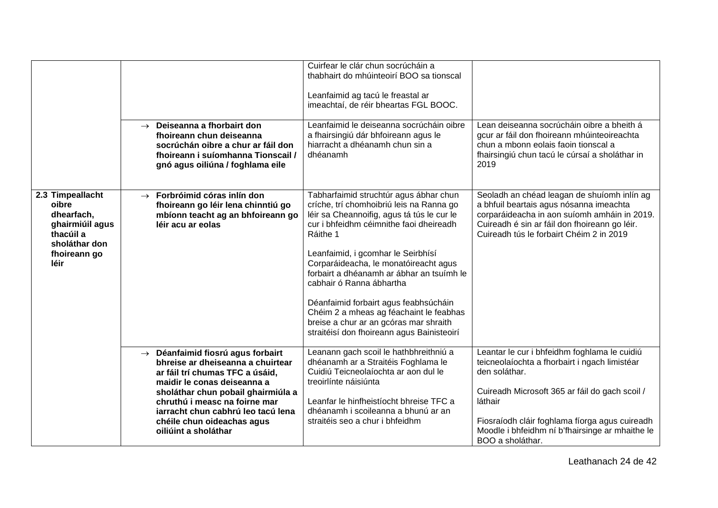|                                                                                                                  | Deiseanna a fhorbairt don<br>$\rightarrow$<br>fhoireann chun deiseanna<br>socrúchán oibre a chur ar fáil don<br>fhoireann i suíomhanna Tionscail /<br>gnó agus oiliúna / foghlama eile                                                                                                                                     | Cuirfear le clár chun socrúcháin a<br>thabhairt do mhúinteoirí BOO sa tionscal<br>Leanfaimid ag tacú le freastal ar<br>imeachtaí, de réir bheartas FGL BOOC.<br>Leanfaimid le deiseanna socrúcháin oibre<br>a fhairsingiú dár bhfoireann agus le<br>hiarracht a dhéanamh chun sin a<br>dhéanamh                                                                                                                                                                                                                             | Lean deiseanna socrúcháin oibre a bheith á<br>gcur ar fáil don fhoireann mhúinteoireachta<br>chun a mbonn eolais faoin tionscal a<br>fhairsingiú chun tacú le cúrsaí a sholáthar in<br>2019                                                                                                          |
|------------------------------------------------------------------------------------------------------------------|----------------------------------------------------------------------------------------------------------------------------------------------------------------------------------------------------------------------------------------------------------------------------------------------------------------------------|-----------------------------------------------------------------------------------------------------------------------------------------------------------------------------------------------------------------------------------------------------------------------------------------------------------------------------------------------------------------------------------------------------------------------------------------------------------------------------------------------------------------------------|------------------------------------------------------------------------------------------------------------------------------------------------------------------------------------------------------------------------------------------------------------------------------------------------------|
| 2.3 Timpeallacht<br>oibre<br>dhearfach,<br>ghairmiúil agus<br>thacúil a<br>sholáthar don<br>fhoireann go<br>léir | Forbróimid córas inlín don<br>$\rightarrow$<br>fhoireann go léir lena chinntiú go<br>mbíonn teacht ag an bhfoireann go<br>léir acu ar eolas                                                                                                                                                                                | Tabharfaimid struchtúr agus ábhar chun<br>críche, trí chomhoibriú leis na Ranna go<br>léir sa Cheannoifig, agus tá tús le cur le<br>cur i bhfeidhm céimnithe faoi dheireadh<br>Ráithe 1<br>Leanfaimid, i gcomhar le Seirbhísí<br>Corparáideacha, le monatóireacht agus<br>forbairt a dhéanamh ar ábhar an tsuímh le<br>cabhair ó Ranna ábhartha<br>Déanfaimid forbairt agus feabhsúcháin<br>Chéim 2 a mheas ag féachaint le feabhas<br>breise a chur ar an gcóras mar shraith<br>straitéisí don fhoireann agus Bainisteoirí | Seoladh an chéad leagan de shuíomh inlín ag<br>a bhfuil beartais agus nósanna imeachta<br>corparáideacha in aon suíomh amháin in 2019.<br>Cuireadh é sin ar fáil don fhoireann go léir.<br>Cuireadh tús le forbairt Chéim 2 in 2019                                                                  |
|                                                                                                                  | Déanfaimid fiosrú agus forbairt<br>$\rightarrow$<br>bhreise ar dheiseanna a chuirtear<br>ar fáil trí chumas TFC a úsáid,<br>maidir le conas deiseanna a<br>sholáthar chun pobail ghairmiúla a<br>chruthú i measc na foirne mar<br>iarracht chun cabhrú leo tacú lena<br>chéile chun oideachas agus<br>oiliúint a sholáthar | Leanann gach scoil le hathbhreithniú a<br>dhéanamh ar a Straitéis Foghlama le<br>Cuidiú Teicneolaíochta ar aon dul le<br>treoirlínte náisiúnta<br>Leanfar le hinfheistíocht bhreise TFC a<br>dhéanamh i scoileanna a bhunú ar an<br>straitéis seo a chur i bhfeidhm                                                                                                                                                                                                                                                         | Leantar le cur i bhfeidhm foghlama le cuidiú<br>teicneolaíochta a fhorbairt i ngach limistéar<br>den soláthar.<br>Cuireadh Microsoft 365 ar fáil do gach scoil /<br>láthair<br>Fiosraíodh cláir foghlama fíorga agus cuireadh<br>Moodle i bhfeidhm ní b'fhairsinge ar mhaithe le<br>BOO a sholáthar. |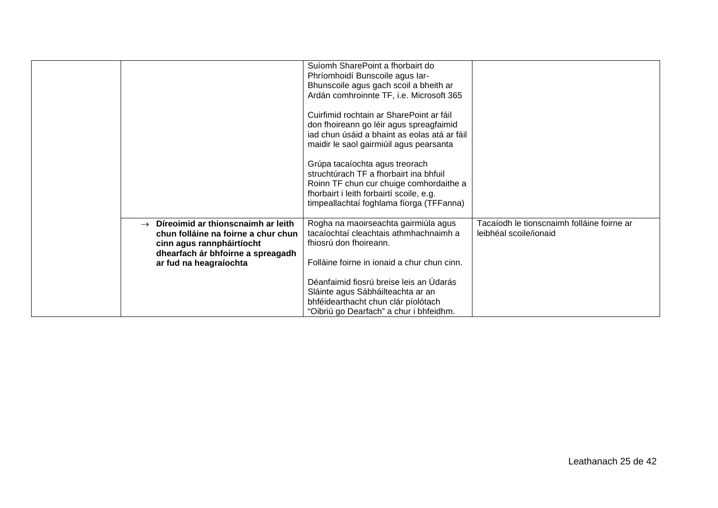|                                                                                                                                                              | Suíomh SharePoint a fhorbairt do<br>Phríomhoidí Bunscoile agus Iar-<br>Bhunscoile agus gach scoil a bheith ar                                                                                                 |                                                                      |
|--------------------------------------------------------------------------------------------------------------------------------------------------------------|---------------------------------------------------------------------------------------------------------------------------------------------------------------------------------------------------------------|----------------------------------------------------------------------|
|                                                                                                                                                              | Ardán comhroinnte TF, i.e. Microsoft 365<br>Cuirfimid rochtain ar SharePoint ar fáil<br>don fhoireann go léir agus spreagfaimid                                                                               |                                                                      |
|                                                                                                                                                              | iad chun úsáid a bhaint as eolas atá ar fáil<br>maidir le saol gairmiúil agus pearsanta                                                                                                                       |                                                                      |
|                                                                                                                                                              | Grúpa tacaíochta agus treorach<br>struchtúrach TF a fhorbairt ina bhfuil<br>Roinn TF chun cur chuige comhordaithe a<br>fhorbairt i leith forbairtí scoile, e.g.<br>timpeallachtaí foghlama fíorga (TFFanna)   |                                                                      |
| Díreoimid ar thionscnaimh ar leith<br>$\rightarrow$<br>chun folláine na foirne a chur chun<br>cinn agus rannpháirtíocht<br>dhearfach ár bhfoirne a spreagadh | Rogha na maoirseachta gairmiúla agus<br>tacaíochtaí cleachtais athmhachnaimh a<br>fhiosrú don fhoireann.                                                                                                      | Tacaíodh le tionscnaimh folláine foirne ar<br>leibhéal scoile/ionaid |
| ar fud na heagraíochta                                                                                                                                       | Folláine foirne in ionaid a chur chun cinn.<br>Déanfaimid fiosrú breise leis an Údarás<br>Sláinte agus Sábháilteachta ar an<br>bhféidearthacht chun clár píolótach<br>"Oibriú go Dearfach" a chur i bhfeidhm. |                                                                      |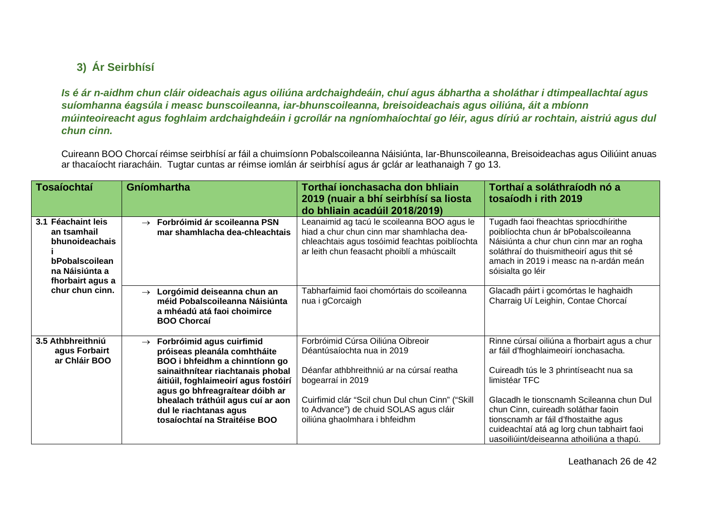## **3) Ár Seirbhísí**

*Is é ár n-aidhm chun cláir oideachais agus oiliúna ardchaighdeáin, chuí agus ábhartha a sholáthar i dtimpeallachtaí agus suíomhanna éagsúla i measc bunscoileanna, iar-bhunscoileanna, breisoideachais agus oiliúna, áit a mbíonn múinteoireacht agus foghlaim ardchaighdeáin i gcroílár na ngníomhaíochtaí go léir, agus díriú ar rochtain, aistriú agus dul chun cinn.*

Cuireann BOO Chorcaí réimse seirbhísí ar fáil a chuimsíonn Pobalscoileanna Náisiúnta, Iar-Bhunscoileanna, Breisoideachas agus Oiliúint anuas ar thacaíocht riaracháin. Tugtar cuntas ar réimse iomlán ár seirbhísí agus ár gclár ar leathanaigh 7 go 13.

<span id="page-25-1"></span><span id="page-25-0"></span>

| <b>Tosaíochtaí</b>                                                                                                             | Gníomhartha                                                                                                                                                                                                                                                                                                                  | Torthaí ionchasacha don bhliain<br>2019 (nuair a bhí seirbhísí sa liosta<br>do bhliain acadúil 2018/2019)                                                                                                                                                        | Torthaí a soláthraíodh nó a<br>tosaíodh i rith 2019                                                                                                                                                                                                                        |
|--------------------------------------------------------------------------------------------------------------------------------|------------------------------------------------------------------------------------------------------------------------------------------------------------------------------------------------------------------------------------------------------------------------------------------------------------------------------|------------------------------------------------------------------------------------------------------------------------------------------------------------------------------------------------------------------------------------------------------------------|----------------------------------------------------------------------------------------------------------------------------------------------------------------------------------------------------------------------------------------------------------------------------|
| 3.1 Féachaint leis<br>an tsamhail<br>bhunoideachais<br>bPobalscoilean<br>na Náisiúnta a<br>fhorbairt agus a<br>chur chun cinn. | $\rightarrow$ Forbróimid ár scoileanna PSN<br>mar shamhlacha dea-chleachtais                                                                                                                                                                                                                                                 | Leanaimid ag tacú le scoileanna BOO agus le<br>hiad a chur chun cinn mar shamhlacha dea-<br>chleachtais agus tosóimid feachtas poiblíochta<br>ar leith chun feasacht phoiblí a mhúscailt                                                                         | Tugadh faoi fheachtas spriocdhírithe<br>poiblíochta chun ár bPobalscoileanna<br>Náisiúnta a chur chun cinn mar an rogha<br>soláthraí do thuismitheoirí agus thit sé<br>amach in 2019 i measc na n-ardán meán<br>sóisialta go léir                                          |
|                                                                                                                                | $\rightarrow$ Lorgóimid deiseanna chun an<br>méid Pobalscoileanna Náisiúnta<br>a mhéadú atá faoi choimirce<br><b>BOO Chorcaí</b>                                                                                                                                                                                             | Tabharfaimid faoi chomórtais do scoileanna<br>nua i gCorcaigh                                                                                                                                                                                                    | Glacadh páirt i gcomórtas le haghaidh<br>Charraig Uí Leighin, Contae Chorcaí                                                                                                                                                                                               |
| 3.5 Athbhreithniú<br>agus Forbairt<br>ar Chláir BOO                                                                            | Forbróimid agus cuirfimid<br>$\rightarrow$<br>próiseas pleanála comhtháite<br>BOO i bhfeidhm a chinntíonn go<br>sainaithnítear riachtanais phobal<br>áitiúil, foghlaimeoirí agus fostóirí<br>agus go bhfreagraítear dóibh ar<br>bhealach tráthúil agus cuí ar aon<br>dul le riachtanas agus<br>tosaíochtaí na Straitéise BOO | Forbróimid Cúrsa Oiliúna Oibreoir<br>Déantúsaíochta nua in 2019<br>Déanfar athbhreithniú ar na cúrsaí reatha<br>bogearraí in 2019<br>Cuirfimid clár "Scil chun Dul chun Cinn" ("Skill<br>to Advance") de chuid SOLAS agus cláir<br>oiliúna ghaolmhara i bhfeidhm | Rinne cúrsaí oiliúna a fhorbairt agus a chur<br>ar fáil d'fhoghlaimeoirí ionchasacha.<br>Cuireadh tús le 3 phrintíseacht nua sa<br>limistéar TFC<br>Glacadh le tionscnamh Scileanna chun Dul<br>chun Cinn, cuireadh soláthar faoin<br>tionscnamh ar fáil d'fhostaithe agus |
|                                                                                                                                |                                                                                                                                                                                                                                                                                                                              |                                                                                                                                                                                                                                                                  | cuideachtaí atá ag lorg chun tabhairt faoi<br>uasoiliúint/deiseanna athoiliúna a thapú.                                                                                                                                                                                    |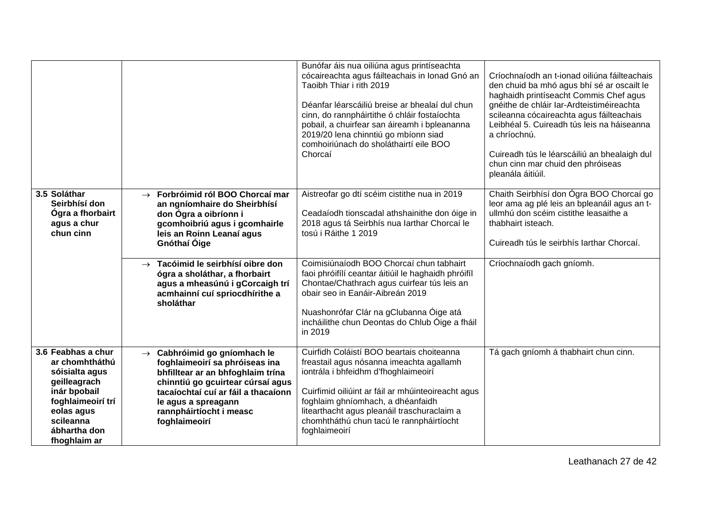|                                                                                                                                                                        |                                                                                                                                                                                                                                                                   | Bunófar áis nua oiliúna agus printíseachta<br>cócaireachta agus fáilteachais in Ionad Gnó an<br>Taoibh Thiar i rith 2019<br>Déanfar léarscáiliú breise ar bhealaí dul chun<br>cinn, do rannpháirtithe ó chláir fostaíochta<br>pobail, a chuirfear san áireamh i bpleananna<br>2019/20 lena chinntiú go mbíonn siad<br>comhoiriúnach do sholáthairtí eile BOO<br>Chorcaí | Críochnaíodh an t-ionad oiliúna fáilteachais<br>den chuid ba mhó agus bhí sé ar oscailt le<br>haghaidh printíseacht Commis Chef agus<br>gnéithe de chláir Iar-Ardteistiméireachta<br>scileanna cócaireachta agus fáilteachais<br>Leibhéal 5. Cuireadh tús leis na háiseanna<br>a chríochnú.<br>Cuireadh tús le léarscáiliú an bhealaigh dul<br>chun cinn mar chuid den phróiseas<br>pleanála áitiúil. |
|------------------------------------------------------------------------------------------------------------------------------------------------------------------------|-------------------------------------------------------------------------------------------------------------------------------------------------------------------------------------------------------------------------------------------------------------------|-------------------------------------------------------------------------------------------------------------------------------------------------------------------------------------------------------------------------------------------------------------------------------------------------------------------------------------------------------------------------|-------------------------------------------------------------------------------------------------------------------------------------------------------------------------------------------------------------------------------------------------------------------------------------------------------------------------------------------------------------------------------------------------------|
| 3.5 Soláthar<br>Seirbhísí don<br>Ógra a fhorbairt<br>agus a chur<br>chun cinn                                                                                          | Forbróimid ról BOO Chorcaí mar<br>$\rightarrow$<br>an ngníomhaire do Sheirbhísí<br>don Ógra a oibríonn i<br>gcomhoibriú agus i gcomhairle<br>leis an Roinn Leanaí agus<br>Gnóthaí Óige                                                                            | Aistreofar go dtí scéim cistithe nua in 2019<br>Ceadaíodh tionscadal athshainithe don óige in<br>2018 agus tá Seirbhís nua Iarthar Chorcaí le<br>tosú i Ráithe 1 2019                                                                                                                                                                                                   | Chaith Seirbhísí don Ógra BOO Chorcaí go<br>leor ama ag plé leis an bpleanáil agus an t-<br>ullmhú don scéim cistithe leasaithe a<br>thabhairt isteach.<br>Cuireadh tús le seirbhís Iarthar Chorcaí.                                                                                                                                                                                                  |
|                                                                                                                                                                        | Tacóimid le seirbhísí oibre don<br>$\rightarrow$<br>ógra a sholáthar, a fhorbairt<br>agus a mheasúnú i gCorcaigh trí<br>acmhainní cuí spriocdhírithe a<br>sholáthar                                                                                               | Coimisiúnaíodh BOO Chorcaí chun tabhairt<br>faoi phróifílí ceantar áitiúil le haghaidh phróifíl<br>Chontae/Chathrach agus cuirfear tús leis an<br>obair seo in Eanáir-Aibreán 2019<br>Nuashonrófar Clár na gClubanna Óige atá<br>incháilithe chun Deontas do Chlub Óige a fháil<br>in 2019                                                                              | Críochnaíodh gach gníomh.                                                                                                                                                                                                                                                                                                                                                                             |
| 3.6 Feabhas a chur<br>ar chomhtháthú<br>sóisialta agus<br>geilleagrach<br>inár bpobail<br>foghlaimeoirí trí<br>eolas agus<br>scileanna<br>ábhartha don<br>fhoghlaim ar | Cabhróimid go gníomhach le<br>$\rightarrow$<br>foghlaimeoirí sa phróiseas ina<br>bhfilltear ar an bhfoghlaim trína<br>chinntiú go gcuirtear cúrsaí agus<br>tacaíochtaí cuí ar fáil a thacaíonn<br>le agus a spreagann<br>rannpháirtíocht i measc<br>foghlaimeoirí | Cuirfidh Coláistí BOO beartais choiteanna<br>freastail agus nósanna imeachta agallamh<br>iontrála i bhfeidhm d'fhoghlaimeoirí<br>Cuirfimid oiliúint ar fáil ar mhúinteoireacht agus<br>foghlaim ghníomhach, a dhéanfaidh<br>litearthacht agus pleanáil traschuraclaim a<br>chomhtháthú chun tacú le rannpháirtíocht<br>foghlaimeoirí                                    | Tá gach gníomh á thabhairt chun cinn.                                                                                                                                                                                                                                                                                                                                                                 |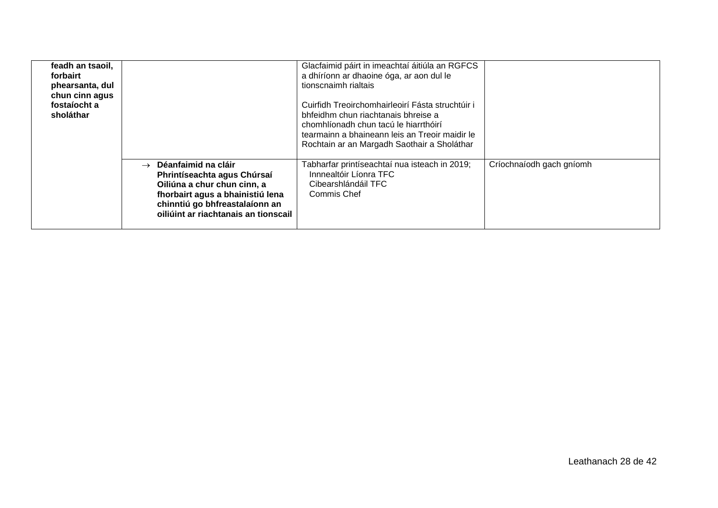| feadh an tsaoil,<br>forbairt<br>phearsanta, dul<br>chun cinn agus<br>fostaíocht a<br>sholáthar |                                                                                                                                                                                                               | Glacfaimid páirt in imeachtaí áitiúla an RGFCS<br>a dhíríonn ar dhaoine óga, ar aon dul le<br>tionscnaimh rialtais<br>Cuirfidh Treoirchomhairleoirí Fásta struchtúir i<br>bhfeidhm chun riachtanais bhreise a<br>chomhlíonadh chun tacú le hiarrthóirí<br>tearmainn a bhaineann leis an Treoir maidir le<br>Rochtain ar an Margadh Saothair a Sholáthar |                          |
|------------------------------------------------------------------------------------------------|---------------------------------------------------------------------------------------------------------------------------------------------------------------------------------------------------------------|---------------------------------------------------------------------------------------------------------------------------------------------------------------------------------------------------------------------------------------------------------------------------------------------------------------------------------------------------------|--------------------------|
|                                                                                                | $\rightarrow$ Déanfaimid na cláir<br>Phrintíseachta agus Chúrsaí<br>Oiliúna a chur chun cinn, a<br>fhorbairt agus a bhainistiú lena<br>chinntiú go bhfreastalaíonn an<br>oiliúint ar riachtanais an tionscail | Tabharfar printíseachtaí nua isteach in 2019;<br>Innnealtóir Líonra TFC<br>Cibearshlándáil TFC<br>Commis Chef                                                                                                                                                                                                                                           | Críochnaíodh gach gníomh |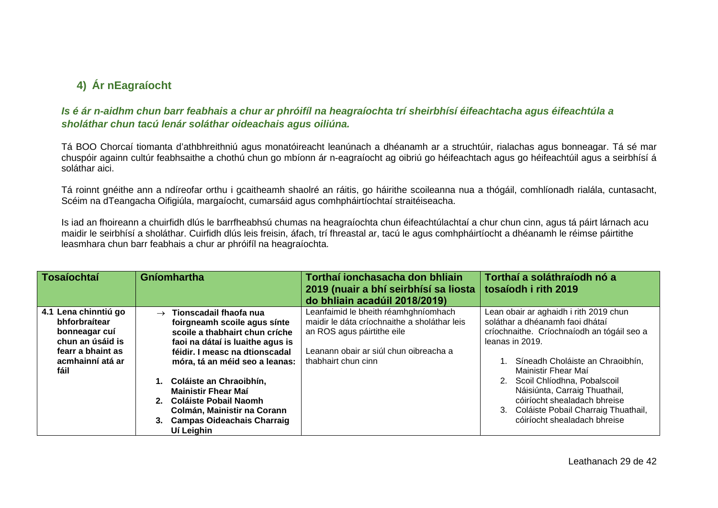## **4) Ár nEagraíocht**

### *Is é ár n-aidhm chun barr feabhais a chur ar phróifíl na heagraíochta trí sheirbhísí éifeachtacha agus éifeachtúla a sholáthar chun tacú lenár soláthar oideachais agus oiliúna.*

Tá BOO Chorcaí tiomanta d'athbhreithniú agus monatóireacht leanúnach a dhéanamh ar a struchtúir, rialachas agus bonneagar. Tá sé mar chuspóir againn cultúr feabhsaithe a chothú chun go mbíonn ár n-eagraíocht ag oibriú go héifeachtach agus go héifeachtúil agus a seirbhísí á soláthar aici.

Tá roinnt gnéithe ann a ndíreofar orthu i gcaitheamh shaolré an ráitis, go háirithe scoileanna nua a thógáil, comhlíonadh rialála, cuntasacht, Scéim na dTeangacha Oifigiúla, margaíocht, cumarsáid agus comhpháirtíochtaí straitéiseacha.

Is iad an fhoireann a chuirfidh dlús le barrfheabhsú chumas na heagraíochta chun éifeachtúlachtaí a chur chun cinn, agus tá páirt lárnach acu maidir le seirbhísí a sholáthar. Cuirfidh dlús leis freisin, áfach, trí fhreastal ar, tacú le agus comhpháirtíocht a dhéanamh le réimse páirtithe leasmhara chun barr feabhais a chur ar phróifíl na heagraíochta.

<span id="page-28-1"></span><span id="page-28-0"></span>

| Tosaíochtaí                                                                                                                 | Gníomhartha                                                                                                                                                                                                                                                                                                                                                                          | Torthaí ionchasacha don bhliain<br>2019 (nuair a bhí seirbhísí sa liosta<br>do bhliain acadúil 2018/2019)                                                                           | Torthaí a soláthraíodh nó a<br>tosaíodh i rith 2019                                                                                                                                                                                                                                                                                                                                |
|-----------------------------------------------------------------------------------------------------------------------------|--------------------------------------------------------------------------------------------------------------------------------------------------------------------------------------------------------------------------------------------------------------------------------------------------------------------------------------------------------------------------------------|-------------------------------------------------------------------------------------------------------------------------------------------------------------------------------------|------------------------------------------------------------------------------------------------------------------------------------------------------------------------------------------------------------------------------------------------------------------------------------------------------------------------------------------------------------------------------------|
| 4.1 Lena chinntiú go<br>bhforbraítear<br>bonneagar cuí<br>chun an úsáid is<br>fearr a bhaint as<br>acmhainní atá ar<br>fáil | $\rightarrow$ Tionscadail fhaofa nua<br>foirgneamh scoile agus sínte<br>scoile a thabhairt chun críche<br>faoi na dátaí is luaithe agus is<br>féidir. I measc na dtionscadal<br>móra, tá an méid seo a leanas:<br>1. Coláiste an Chraoibhín,<br><b>Mainistir Fhear Mai</b><br>2. Coláiste Pobail Naomh<br>Colmán, Mainistir na Corann<br>3. Campas Oideachais Charraig<br>Uí Leighin | Leanfaimid le bheith réamhghníomhach<br>maidir le dáta críochnaithe a sholáthar leis<br>an ROS agus páirtithe eile<br>Leanann obair ar siúl chun oibreacha a<br>thabhairt chun cinn | Lean obair ar aghaidh i rith 2019 chun<br>soláthar a dhéanamh faoi dhátaí<br>críochnaithe. Críochnaíodh an tógáil seo a<br>leanas in 2019.<br>Síneadh Choláiste an Chraoibhín,<br>Mainistir Fhear Maí<br>2. Scoil Chlíodhna, Pobalscoil<br>Náisiúnta, Carraig Thuathail,<br>cóiríocht shealadach bhreise<br>3. Coláiste Pobail Charraig Thuathail,<br>cóiríocht shealadach bhreise |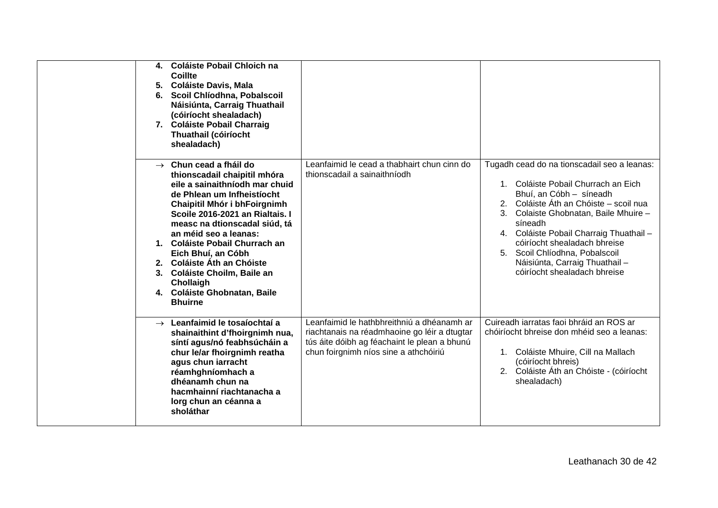| 4. Coláiste Pobail Chloich na<br>Coillte<br>5. Coláiste Davis, Mala<br>Scoil Chlíodhna, Pobalscoil<br>6.<br>Náisiúnta, Carraig Thuathail<br>(cóiríocht shealadach)<br>7. Coláiste Pobail Charraig<br>Thuathail (cóiríocht<br>shealadach)                                                                                                                                                                                                             |                                                                                                                                                                                     |                                                                                                                                                                                                                                                                                                                                                                                            |
|------------------------------------------------------------------------------------------------------------------------------------------------------------------------------------------------------------------------------------------------------------------------------------------------------------------------------------------------------------------------------------------------------------------------------------------------------|-------------------------------------------------------------------------------------------------------------------------------------------------------------------------------------|--------------------------------------------------------------------------------------------------------------------------------------------------------------------------------------------------------------------------------------------------------------------------------------------------------------------------------------------------------------------------------------------|
| $\rightarrow$ Chun cead a fháil do<br>thionscadail chaipitil mhóra<br>eile a sainaithníodh mar chuid<br>de Phlean um Infheistíocht<br>Chaipitil Mhór i bhFoirgnimh<br>Scoile 2016-2021 an Rialtais. I<br>measc na dtionscadal siúd, tá<br>an méid seo a leanas:<br>1. Coláiste Pobail Churrach an<br>Eich Bhuí, an Cóbh<br>2. Coláiste Áth an Chóiste<br>3. Coláiste Choilm, Baile an<br>Chollaigh<br>4. Coláiste Ghobnatan, Baile<br><b>Bhuirne</b> | Leanfaimid le cead a thabhairt chun cinn do<br>thionscadail a sainaithníodh                                                                                                         | Tugadh cead do na tionscadail seo a leanas:<br>1. Coláiste Pobail Churrach an Eich<br>Bhuí, an Cóbh - síneadh<br>2. Coláiste Áth an Chóiste – scoil nua<br>3. Colaiste Ghobnatan, Baile Mhuire -<br>síneadh<br>4. Coláiste Pobail Charraig Thuathail -<br>cóiríocht shealadach bhreise<br>5. Scoil Chlíodhna, Pobalscoil<br>Náisiúnta, Carraig Thuathail -<br>cóiríocht shealadach bhreise |
| $\rightarrow$ Leanfaimid le tosaíochtaí a<br>shainaithint d'fhoirgnimh nua,<br>síntí agus/nó feabhsúcháin a<br>chur le/ar fhoirgnimh reatha<br>agus chun iarracht<br>réamhghníomhach a<br>dhéanamh chun na<br>hacmhainní riachtanacha a<br>lorg chun an céanna a<br>sholáthar                                                                                                                                                                        | Leanfaimid le hathbhreithniú a dhéanamh ar<br>riachtanais na réadmhaoine go léir a dtugtar<br>tús áite dóibh ag féachaint le plean a bhunú<br>chun foirgnimh níos sine a athchóiriú | Cuireadh iarratas faoi bhráid an ROS ar<br>chóiríocht bhreise don mhéid seo a leanas:<br>1. Coláiste Mhuire, Cill na Mallach<br>(cóiríocht bhreis)<br>2. Coláiste Áth an Chóiste - (cóiríocht<br>shealadach)                                                                                                                                                                               |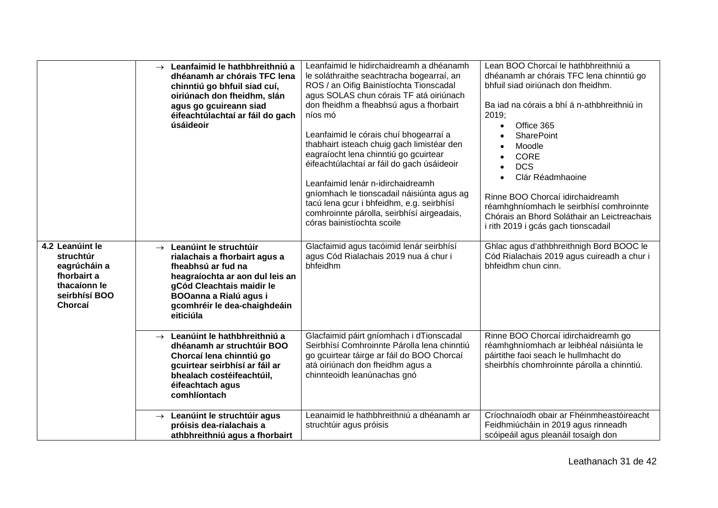|                                                                                                         | $\rightarrow$ Leanfaimid le hathbhreithniú a<br>dhéanamh ar chórais TFC lena<br>chinntiú go bhfuil siad cuí,<br>oiriúnach don fheidhm, slán<br>agus go gcuireann siad<br>éifeachtúlachtaí ar fáil do gach<br>úsáideoir             | Leanfaimid le hidirchaidreamh a dhéanamh<br>le soláthraithe seachtracha bogearraí, an<br>ROS / an Oifig Bainistíochta Tionscadal<br>agus SOLAS chun córais TF atá oiriúnach<br>don fheidhm a fheabhsú agus a fhorbairt<br>níos mó<br>Leanfaimid le córais chuí bhogearraí a<br>thabhairt isteach chuig gach limistéar den<br>eagraíocht lena chinntiú go gcuirtear<br>éifeachtúlachtaí ar fáil do gach úsáideoir<br>Leanfaimid lenár n-idirchaidreamh<br>gníomhach le tionscadail náisiúnta agus ag<br>tacú lena gcur i bhfeidhm, e.g. seirbhísí<br>comhroinnte párolla, seirbhísí airgeadais,<br>córas bainistíochta scoile | Lean BOO Chorcaí le hathbhreithniú a<br>dhéanamh ar chórais TFC lena chinntiú go<br>bhfuil siad oiriúnach don fheidhm.<br>Ba iad na córais a bhí á n-athbhreithniú in<br>2019;<br>Office 365<br><b>SharePoint</b><br>Moodle<br><b>CORE</b><br><b>DCS</b><br>Clár Réadmhaoine<br>Rinne BOO Chorcaí idirchaidreamh<br>réamhghníomhach le seirbhísí comhroinnte<br>Chórais an Bhord Soláthair an Leictreachais<br>i rith 2019 i gcás gach tionscadail |
|---------------------------------------------------------------------------------------------------------|------------------------------------------------------------------------------------------------------------------------------------------------------------------------------------------------------------------------------------|------------------------------------------------------------------------------------------------------------------------------------------------------------------------------------------------------------------------------------------------------------------------------------------------------------------------------------------------------------------------------------------------------------------------------------------------------------------------------------------------------------------------------------------------------------------------------------------------------------------------------|----------------------------------------------------------------------------------------------------------------------------------------------------------------------------------------------------------------------------------------------------------------------------------------------------------------------------------------------------------------------------------------------------------------------------------------------------|
| 4.2 Leanúint le<br>struchtúr<br>eagrúcháin a<br>fhorbairt a<br>thacaíonn le<br>seirbhísí BOO<br>Chorcaí | $\rightarrow$ Leanúint le struchtúir<br>rialachais a fhorbairt agus a<br>fheabhsú ar fud na<br>heagraíochta ar aon dul leis an<br>gCód Cleachtais maidir le<br>BOOanna a Rialú agus i<br>gcomhréir le dea-chaighdeáin<br>eiticiúla | Glacfaimid agus tacóimid lenár seirbhísí<br>agus Cód Rialachais 2019 nua á chur i<br>bhfeidhm                                                                                                                                                                                                                                                                                                                                                                                                                                                                                                                                | Ghlac agus d'athbhreithnigh Bord BOOC le<br>Cód Rialachais 2019 agus cuireadh a chur i<br>bhfeidhm chun cinn.                                                                                                                                                                                                                                                                                                                                      |
|                                                                                                         | $\rightarrow$ Leanúint le hathbhreithniú a<br>dhéanamh ar struchtúir BOO<br>Chorcaí lena chinntiú go<br>gcuirtear seirbhísí ar fáil ar<br>bhealach costéifeachtúil,<br>éifeachtach agus<br>comhlíontach                            | Glacfaimid páirt gníomhach i dTionscadal<br>Seirbhísí Comhroinnte Párolla lena chinntiú<br>go gcuirtear táirge ar fáil do BOO Chorcaí<br>atá oiriúnach don fheidhm agus a<br>chinnteoidh leanúnachas gnó                                                                                                                                                                                                                                                                                                                                                                                                                     | Rinne BOO Chorcaí idirchaidreamh go<br>réamhghníomhach ar leibhéal náisiúnta le<br>páirtithe faoi seach le hullmhacht do<br>sheirbhís chomhroinnte párolla a chinntiú.                                                                                                                                                                                                                                                                             |
|                                                                                                         | $\rightarrow$ Leanúint le struchtúir agus<br>próisis dea-rialachais a<br>athbhreithniú agus a fhorbairt                                                                                                                            | Leanaimid le hathbhreithniú a dhéanamh ar<br>struchtúir agus próisis                                                                                                                                                                                                                                                                                                                                                                                                                                                                                                                                                         | Críochnaíodh obair ar Fhéinmheastóireacht<br>Feidhmiúcháin in 2019 agus rinneadh<br>scóipeáil agus pleanáil tosaigh don                                                                                                                                                                                                                                                                                                                            |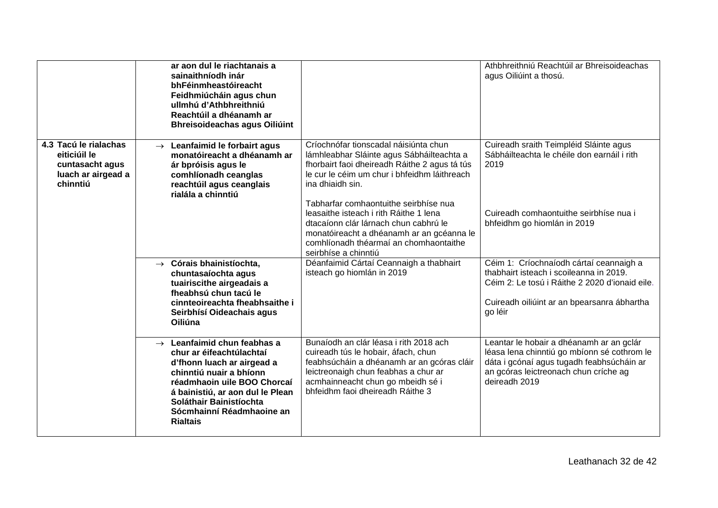|                                                                                            | ar aon dul le riachtanais a<br>sainaithníodh inár<br>bhFéinmheastóireacht<br>Feidhmiúcháin agus chun<br>ullmhú d'Athbhreithniú<br>Reachtúil a dhéanamh ar<br><b>Bhreisoideachas agus Oiliúint</b>                                                                          |                                                                                                                                                                                                                                                                                                                                     | Athbhreithniú Reachtúil ar Bhreisoideachas<br>agus Oiliúint a thosú.                                                                                                                           |
|--------------------------------------------------------------------------------------------|----------------------------------------------------------------------------------------------------------------------------------------------------------------------------------------------------------------------------------------------------------------------------|-------------------------------------------------------------------------------------------------------------------------------------------------------------------------------------------------------------------------------------------------------------------------------------------------------------------------------------|------------------------------------------------------------------------------------------------------------------------------------------------------------------------------------------------|
| 4.3 Tacú le rialachas<br>eiticiúil le<br>cuntasacht agus<br>luach ar airgead a<br>chinntiú | $\rightarrow$ Leanfaimid le forbairt agus<br>monatóireacht a dhéanamh ar<br>ár bpróisis agus le<br>comhlíonadh ceanglas<br>reachtúil agus ceanglais<br>rialála a chinntiú                                                                                                  | Críochnófar tionscadal náisiúnta chun<br>lámhleabhar Sláinte agus Sábháilteachta a<br>fhorbairt faoi dheireadh Ráithe 2 agus tá tús<br>le cur le céim um chur i bhfeidhm láithreach<br>ina dhiaidh sin.<br>Tabharfar comhaontuithe seirbhíse nua<br>leasaithe isteach i rith Ráithe 1 lena<br>dtacaíonn clár lárnach chun cabhrú le | Cuireadh sraith Teimpléid Sláinte agus<br>Sábháilteachta le chéile don earnáil i rith<br>2019<br>Cuireadh comhaontuithe seirbhíse nua i<br>bhfeidhm go hiomlán in 2019                         |
|                                                                                            |                                                                                                                                                                                                                                                                            | monatóireacht a dhéanamh ar an gcéanna le<br>comhlíonadh théarmaí an chomhaontaithe<br>seirbhíse a chinntiú                                                                                                                                                                                                                         |                                                                                                                                                                                                |
|                                                                                            | $\rightarrow$ Córais bhainistíochta,<br>chuntasaíochta agus<br>tuairiscithe airgeadais a<br>fheabhsú chun tacú le<br>cinnteoireachta fheabhsaithe i<br>Seirbhísí Oideachais agus<br>Oiliúna                                                                                | Déanfaimid Cártaí Ceannaigh a thabhairt<br>isteach go hiomlán in 2019                                                                                                                                                                                                                                                               | Céim 1: Críochnaíodh cártaí ceannaigh a<br>thabhairt isteach i scoileanna in 2019.<br>Céim 2: Le tosú i Ráithe 2 2020 d'ionaid eile.<br>Cuireadh oiliúint ar an bpearsanra ábhartha<br>go léir |
|                                                                                            | $\rightarrow$ Leanfaimid chun feabhas a<br>chur ar éifeachtúlachtaí<br>d'fhonn luach ar airgead a<br>chinntiú nuair a bhíonn<br>réadmhaoin uile BOO Chorcaí<br>á bainistiú, ar aon dul le Plean<br>Soláthair Bainistíochta<br>Sócmhainní Réadmhaoine an<br><b>Rialtais</b> | Bunaíodh an clár léasa i rith 2018 ach<br>cuireadh tús le hobair, áfach, chun<br>feabhsúcháin a dhéanamh ar an gcóras cláir<br>leictreonaigh chun feabhas a chur ar<br>acmhainneacht chun go mbeidh sé i<br>bhfeidhm faoi dheireadh Ráithe 3                                                                                        | Leantar le hobair a dhéanamh ar an gclár<br>léasa lena chinntiú go mbíonn sé cothrom le<br>dáta i gcónaí agus tugadh feabhsúcháin ar<br>an gcóras leictreonach chun críche ag<br>deireadh 2019 |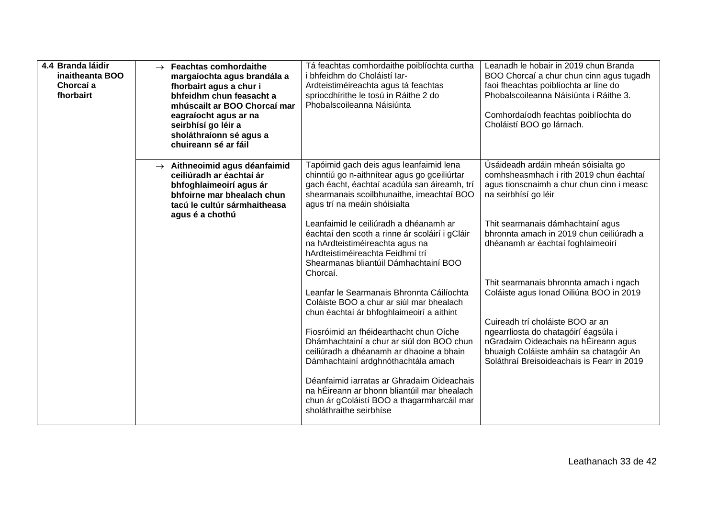| 4.4 Branda láidir<br>inaitheanta BOO<br>Chorcaí a<br>fhorbairt | $\rightarrow$ Feachtas comhordaithe<br>margaíochta agus brandála a<br>fhorbairt agus a chur i<br>bhfeidhm chun feasacht a<br>mhúscailt ar BOO Chorcaí mar<br>eagraíocht agus ar na<br>seirbhísí go léir a<br>sholáthraíonn sé agus a<br>chuireann sé ar fáil | Tá feachtas comhordaithe poiblíochta curtha<br>i bhfeidhm do Choláistí Iar-<br>Ardteistiméireachta agus tá feachtas<br>spriocdhírithe le tosú in Ráithe 2 do<br>Phobalscoileanna Náisiúnta                           | Leanadh le hobair in 2019 chun Branda<br>BOO Chorcaí a chur chun cinn agus tugadh<br>faoi fheachtas poiblíochta ar líne do<br>Phobalscoileanna Náisiúnta i Ráithe 3.<br>Comhordaíodh feachtas poiblíochta do<br>Choláistí BOO go lárnach. |
|----------------------------------------------------------------|--------------------------------------------------------------------------------------------------------------------------------------------------------------------------------------------------------------------------------------------------------------|----------------------------------------------------------------------------------------------------------------------------------------------------------------------------------------------------------------------|-------------------------------------------------------------------------------------------------------------------------------------------------------------------------------------------------------------------------------------------|
|                                                                | $\rightarrow$ Aithneoimid agus déanfaimid<br>ceiliúradh ar éachtaí ár<br>bhfoghlaimeoirí agus ár<br>bhfoirne mar bhealach chun<br>tacú le cultúr sármhaitheasa<br>agus é a chothú                                                                            | Tapóimid gach deis agus leanfaimid lena<br>chinntiú go n-aithnítear agus go gceiliúrtar<br>gach éacht, éachtaí acadúla san áireamh, trí<br>shearmanais scoilbhunaithe, imeachtaí BOO<br>agus trí na meáin shóisialta | Úsáideadh ardáin mheán sóisialta go<br>comhsheasmhach i rith 2019 chun éachtaí<br>agus tionscnaimh a chur chun cinn i measc<br>na seirbhísí go léir                                                                                       |
|                                                                |                                                                                                                                                                                                                                                              | Leanfaimid le ceiliúradh a dhéanamh ar<br>éachtaí den scoth a rinne ár scoláirí i gCláir<br>na hArdteistiméireachta agus na<br>hArdteistiméireachta Feidhmí trí<br>Shearmanas bliantúil Dámhachtainí BOO<br>Chorcaí. | Thit searmanais dámhachtainí agus<br>bhronnta amach in 2019 chun ceiliúradh a<br>dhéanamh ar éachtaí foghlaimeoirí                                                                                                                        |
|                                                                |                                                                                                                                                                                                                                                              | Leanfar le Searmanais Bhronnta Cáilíochta<br>Coláiste BOO a chur ar siúl mar bhealach<br>chun éachtaí ár bhfoghlaimeoirí a aithint                                                                                   | Thit searmanais bhronnta amach i ngach<br>Coláiste agus Ionad Oiliúna BOO in 2019<br>Cuireadh trí choláiste BOO ar an                                                                                                                     |
|                                                                |                                                                                                                                                                                                                                                              | Fiosróimid an fhéidearthacht chun Oíche<br>Dhámhachtainí a chur ar siúl don BOO chun<br>ceiliúradh a dhéanamh ar dhaoine a bhain<br>Dámhachtainí ardghnóthachtála amach                                              | ngearrliosta do chatagóirí éagsúla i<br>nGradaim Oideachais na hÉireann agus<br>bhuaigh Coláiste amháin sa chatagóir An<br>Soláthraí Breisoideachais is Fearr in 2019                                                                     |
|                                                                |                                                                                                                                                                                                                                                              | Déanfaimid iarratas ar Ghradaim Oideachais<br>na hÉireann ar bhonn bliantúil mar bhealach<br>chun ár gColáistí BOO a thagarmharcáil mar<br>sholáthraithe seirbhíse                                                   |                                                                                                                                                                                                                                           |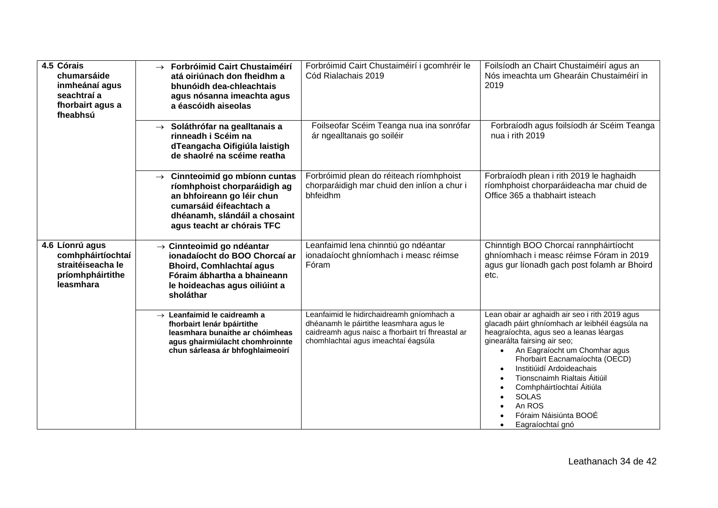| 4.5 Córais<br>chumarsáide<br>inmheánaí agus<br>seachtraí a<br>fhorbairt agus a<br>fheabhsú | $\rightarrow$ Forbróimid Cairt Chustaiméirí<br>atá oiriúnach don fheidhm a<br>bhunóidh dea-chleachtais<br>agus nósanna imeachta agus<br>a éascóidh aiseolas                                        | Forbróimid Cairt Chustaiméirí i gcomhréir le<br>Cód Rialachais 2019                                                                                                              | Foilsíodh an Chairt Chustaiméirí agus an<br>Nós imeachta um Ghearáin Chustaiméirí in<br>2019                                                                                                                                                                                                                                                                                                                     |
|--------------------------------------------------------------------------------------------|----------------------------------------------------------------------------------------------------------------------------------------------------------------------------------------------------|----------------------------------------------------------------------------------------------------------------------------------------------------------------------------------|------------------------------------------------------------------------------------------------------------------------------------------------------------------------------------------------------------------------------------------------------------------------------------------------------------------------------------------------------------------------------------------------------------------|
|                                                                                            | $\rightarrow$ Soláthrófar na gealltanais a<br>rinneadh i Scéim na<br>dTeangacha Oifigiúla laistigh<br>de shaolré na scéime reatha                                                                  | Foilseofar Scéim Teanga nua ina sonrófar<br>ár ngealltanais go soiléir                                                                                                           | Forbraíodh agus foilsíodh ár Scéim Teanga<br>nua i rith 2019                                                                                                                                                                                                                                                                                                                                                     |
|                                                                                            | $\rightarrow$ Cinnteoimid go mbíonn cuntas<br>ríomhphoist chorparáidigh ag<br>an bhfoireann go léir chun<br>cumarsáid éifeachtach a<br>dhéanamh, slándáil a chosaint<br>agus teacht ar chórais TFC | Forbróimid plean do réiteach ríomhphoist<br>chorparáidigh mar chuid den inlíon a chur i<br>bhfeidhm                                                                              | Forbraíodh plean i rith 2019 le haghaidh<br>ríomhphoist chorparáideacha mar chuid de<br>Office 365 a thabhairt isteach                                                                                                                                                                                                                                                                                           |
| 4.6 Líonrú agus<br>comhpháirtíochtaí<br>straitéiseacha le<br>príomhpháirtithe<br>leasmhara | $\rightarrow$ Cinnteoimid go ndéantar<br>ionadaíocht do BOO Chorcaí ar<br><b>Bhoird, Comhlachtaí agus</b><br>Fóraim ábhartha a bhaineann<br>le hoideachas agus oiliúint a<br>sholáthar             | Leanfaimid lena chinntiú go ndéantar<br>ionadaíocht ghníomhach i measc réimse<br>Fóram                                                                                           | Chinntigh BOO Chorcaí rannpháirtíocht<br>ghníomhach i measc réimse Fóram in 2019<br>agus gur líonadh gach post folamh ar Bhoird<br>etc.                                                                                                                                                                                                                                                                          |
|                                                                                            | $\rightarrow$ Leanfaimid le caidreamh a<br>fhorbairt lenár bpáirtithe<br>leasmhara bunaithe ar chóimheas<br>agus ghairmiúlacht chomhroinnte<br>chun sárleasa ár bhfoghlaimeoirí                    | Leanfaimid le hidirchaidreamh gníomhach a<br>dhéanamh le páirtithe leasmhara agus le<br>caidreamh agus naisc a fhorbairt trí fhreastal ar<br>chomhlachtaí agus imeachtaí éagsúla | Lean obair ar aghaidh air seo i rith 2019 agus<br>glacadh páirt ghníomhach ar leibhéil éagsúla na<br>heagraíochta, agus seo a leanas léargas<br>ginearálta fairsing air seo;<br>An Eagraíocht um Chomhar agus<br>Fhorbairt Eacnamaíochta (OECD)<br>Institiúidí Ardoideachais<br>Tionscnaimh Rialtais Áitiúil<br>Comhpháirtíochtaí Áitiúla<br><b>SOLAS</b><br>An ROS<br>Fóraim Náisiúnta BOOÉ<br>Eagraíochtaí gnó |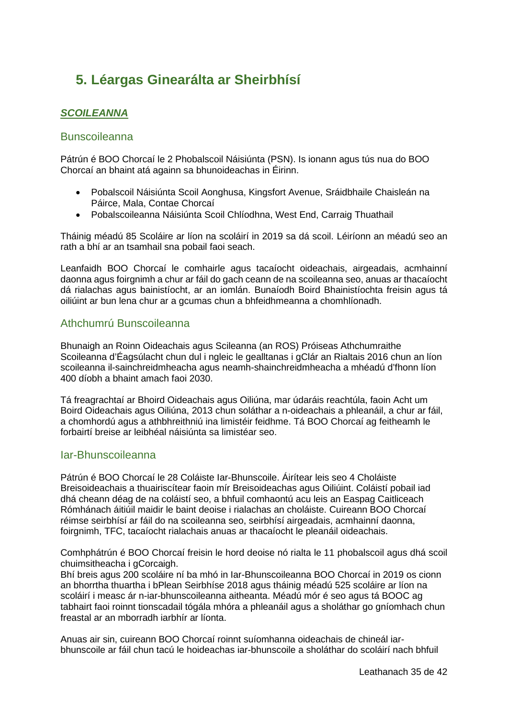# <span id="page-34-0"></span>**5. Léargas Ginearálta ar Sheirbhísí**

### <span id="page-34-1"></span>*SCOILEANNA*

#### <span id="page-34-2"></span>Bunscoileanna

Pátrún é BOO Chorcaí le 2 Phobalscoil Náisiúnta (PSN). Is ionann agus tús nua do BOO Chorcaí an bhaint atá againn sa bhunoideachas in Éirinn.

- Pobalscoil Náisiúnta Scoil Aonghusa, Kingsfort Avenue, Sráidbhaile Chaisleán na Páirce, Mala, Contae Chorcaí
- Pobalscoileanna Náisiúnta Scoil Chlíodhna, West End, Carraig Thuathail

Tháinig méadú 85 Scoláire ar líon na scoláirí in 2019 sa dá scoil. Léiríonn an méadú seo an rath a bhí ar an tsamhail sna pobail faoi seach.

Leanfaidh BOO Chorcaí le comhairle agus tacaíocht oideachais, airgeadais, acmhainní daonna agus foirgnimh a chur ar fáil do gach ceann de na scoileanna seo, anuas ar thacaíocht dá rialachas agus bainistíocht, ar an iomlán. Bunaíodh Boird Bhainistíochta freisin agus tá oiliúint ar bun lena chur ar a gcumas chun a bhfeidhmeanna a chomhlíonadh.

### <span id="page-34-3"></span>Athchumrú Bunscoileanna

Bhunaigh an Roinn Oideachais agus Scileanna (an ROS) Próiseas Athchumraithe Scoileanna d'Éagsúlacht chun dul i ngleic le gealltanas i gClár an Rialtais 2016 chun an líon scoileanna il-sainchreidmheacha agus neamh-shainchreidmheacha a mhéadú d'fhonn líon 400 díobh a bhaint amach faoi 2030.

Tá freagrachtaí ar Bhoird Oideachais agus Oiliúna, mar údaráis reachtúla, faoin Acht um Boird Oideachais agus Oiliúna, 2013 chun soláthar a n-oideachais a phleanáil, a chur ar fáil, a chomhordú agus a athbhreithniú ina limistéir feidhme. Tá BOO Chorcaí ag feitheamh le forbairtí breise ar leibhéal náisiúnta sa limistéar seo.

#### <span id="page-34-4"></span>Iar-Bhunscoileanna

Pátrún é BOO Chorcaí le 28 Coláiste Iar-Bhunscoile. Áirítear leis seo 4 Choláiste Breisoideachais a thuairiscítear faoin mír Breisoideachas agus Oiliúint. Coláistí pobail iad dhá cheann déag de na coláistí seo, a bhfuil comhaontú acu leis an Easpag Caitliceach Rómhánach áitiúil maidir le baint deoise i rialachas an choláiste. Cuireann BOO Chorcaí réimse seirbhísí ar fáil do na scoileanna seo, seirbhísí airgeadais, acmhainní daonna, foirgnimh, TFC, tacaíocht rialachais anuas ar thacaíocht le pleanáil oideachais.

Comhphátrún é BOO Chorcaí freisin le hord deoise nó rialta le 11 phobalscoil agus dhá scoil chuimsitheacha i gCorcaigh.

Bhí breis agus 200 scoláire ní ba mhó in Iar-Bhunscoileanna BOO Chorcaí in 2019 os cionn an bhorrtha thuartha i bPlean Seirbhíse 2018 agus tháinig méadú 525 scoláire ar líon na scoláirí i measc ár n-iar-bhunscoileanna aitheanta. Méadú mór é seo agus tá BOOC ag tabhairt faoi roinnt tionscadail tógála mhóra a phleanáil agus a sholáthar go gníomhach chun freastal ar an mborradh iarbhír ar líonta.

Anuas air sin, cuireann BOO Chorcaí roinnt suíomhanna oideachais de chineál iarbhunscoile ar fáil chun tacú le hoideachas iar-bhunscoile a sholáthar do scoláirí nach bhfuil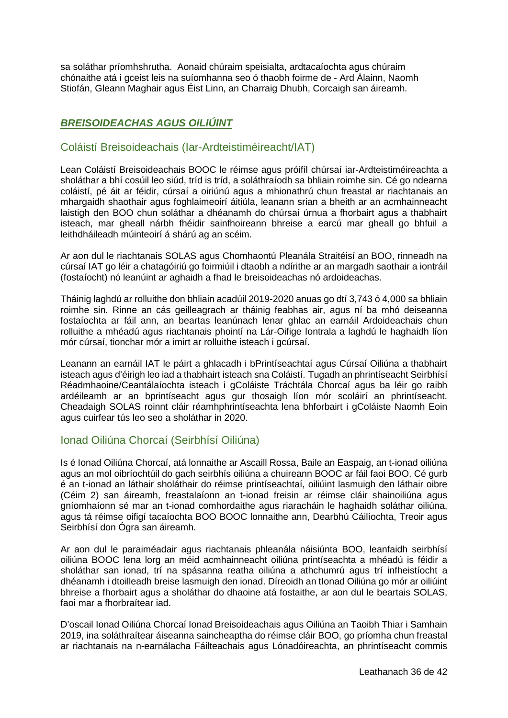sa soláthar príomhshrutha. Aonaid chúraim speisialta, ardtacaíochta agus chúraim chónaithe atá i gceist leis na suíomhanna seo ó thaobh foirme de - Ard Álainn, Naomh Stiofán, Gleann Maghair agus Éist Linn, an Charraig Dhubh, Corcaigh san áireamh.

### <span id="page-35-0"></span>*BREISOIDEACHAS AGUS OILIÚINT*

### <span id="page-35-1"></span>Coláistí Breisoideachais (Iar-Ardteistiméireacht/IAT)

Lean Coláistí Breisoideachais BOOC le réimse agus próifíl chúrsaí iar-Ardteistiméireachta a sholáthar a bhí cosúil leo siúd, tríd is tríd, a soláthraíodh sa bhliain roimhe sin. Cé go ndearna coláistí, pé áit ar féidir, cúrsaí a oiriúnú agus a mhionathrú chun freastal ar riachtanais an mhargaidh shaothair agus foghlaimeoirí áitiúla, leanann srian a bheith ar an acmhainneacht laistigh den BOO chun soláthar a dhéanamh do chúrsaí úrnua a fhorbairt agus a thabhairt isteach, mar gheall nárbh fhéidir sainfhoireann bhreise a earcú mar gheall go bhfuil a leithdháileadh múinteoirí á shárú ag an scéim.

Ar aon dul le riachtanais SOLAS agus Chomhaontú Pleanála Straitéisí an BOO, rinneadh na cúrsaí IAT go léir a chatagóiriú go foirmiúil i dtaobh a ndírithe ar an margadh saothair a iontráil (fostaíocht) nó leanúint ar aghaidh a fhad le breisoideachas nó ardoideachas.

Tháinig laghdú ar rolluithe don bhliain acadúil 2019-2020 anuas go dtí 3,743 ó 4,000 sa bhliain roimhe sin. Rinne an cás geilleagrach ar tháinig feabhas air, agus ní ba mhó deiseanna fostaíochta ar fáil ann, an beartas leanúnach lenar ghlac an earnáil Ardoideachais chun rolluithe a mhéadú agus riachtanais phointí na Lár-Oifige Iontrala a laghdú le haghaidh líon mór cúrsaí, tionchar mór a imirt ar rolluithe isteach i gcúrsaí.

Leanann an earnáil IAT le páirt a ghlacadh i bPrintíseachtaí agus Cúrsaí Oiliúna a thabhairt isteach agus d'éirigh leo iad a thabhairt isteach sna Coláistí. Tugadh an phrintíseacht Seirbhísí Réadmhaoine/Ceantálaíochta isteach i gColáiste Tráchtála Chorcaí agus ba léir go raibh ardéileamh ar an bprintíseacht agus gur thosaigh líon mór scoláirí an phrintíseacht. Cheadaigh SOLAS roinnt cláir réamhphrintíseachta lena bhforbairt i gColáiste Naomh Eoin agus cuirfear tús leo seo a sholáthar in 2020.

### <span id="page-35-2"></span>Ionad Oiliúna Chorcaí (Seirbhísí Oiliúna)

Is é Ionad Oiliúna Chorcaí, atá lonnaithe ar Ascaill Rossa, Baile an Easpaig, an t-ionad oiliúna agus an mol oibríochtúil do gach seirbhís oiliúna a chuireann BOOC ar fáil faoi BOO. Cé gurb é an t-ionad an láthair sholáthair do réimse printíseachtaí, oiliúint lasmuigh den láthair oibre (Céim 2) san áireamh, freastalaíonn an t-ionad freisin ar réimse cláir shainoiliúna agus gníomhaíonn sé mar an t-ionad comhordaithe agus riaracháin le haghaidh soláthar oiliúna, agus tá réimse oifigí tacaíochta BOO BOOC lonnaithe ann, Dearbhú Cáilíochta, Treoir agus Seirbhísí don Ógra san áireamh.

Ar aon dul le paraiméadair agus riachtanais phleanála náisiúnta BOO, leanfaidh seirbhísí oiliúna BOOC lena lorg an méid acmhainneacht oiliúna printíseachta a mhéadú is féidir a sholáthar san ionad, trí na spásanna reatha oiliúna a athchumrú agus trí infheistíocht a dhéanamh i dtoilleadh breise lasmuigh den ionad. Díreoidh an tIonad Oiliúna go mór ar oiliúint bhreise a fhorbairt agus a sholáthar do dhaoine atá fostaithe, ar aon dul le beartais SOLAS, faoi mar a fhorbraítear iad.

D'oscail Ionad Oiliúna Chorcaí Ionad Breisoideachais agus Oiliúna an Taoibh Thiar i Samhain 2019, ina soláthraítear áiseanna saincheaptha do réimse cláir BOO, go príomha chun freastal ar riachtanais na n-earnálacha Fáilteachais agus Lónadóireachta, an phrintíseacht commis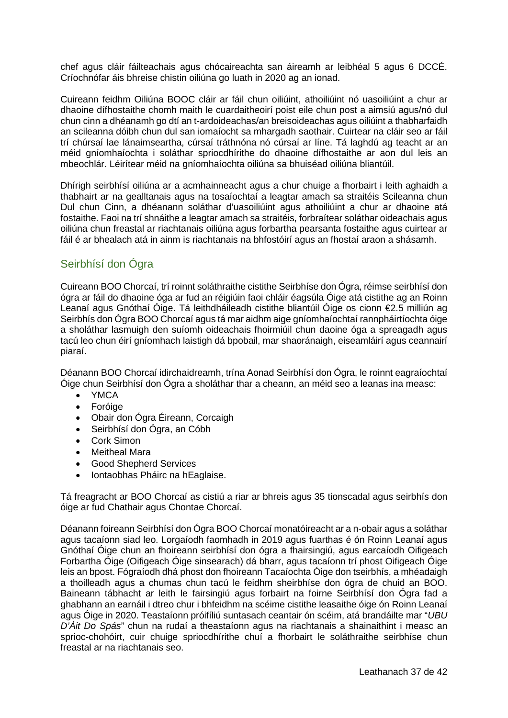chef agus cláir fáilteachais agus chócaireachta san áireamh ar leibhéal 5 agus 6 DCCÉ. Críochnófar áis bhreise chistin oiliúna go luath in 2020 ag an ionad.

Cuireann feidhm Oiliúna BOOC cláir ar fáil chun oiliúint, athoiliúint nó uasoiliúint a chur ar dhaoine dífhostaithe chomh maith le cuardaitheoirí poist eile chun post a aimsiú agus/nó dul chun cinn a dhéanamh go dtí an t-ardoideachas/an breisoideachas agus oiliúint a thabharfaidh an scileanna dóibh chun dul san iomaíocht sa mhargadh saothair. Cuirtear na cláir seo ar fáil trí chúrsaí lae lánaimseartha, cúrsaí tráthnóna nó cúrsaí ar líne. Tá laghdú ag teacht ar an méid gníomhaíochta i soláthar spriocdhírithe do dhaoine dífhostaithe ar aon dul leis an mbeochlár. Léirítear méid na gníomhaíochta oiliúna sa bhuiséad oiliúna bliantúil.

Dhírigh seirbhísí oiliúna ar a acmhainneacht agus a chur chuige a fhorbairt i leith aghaidh a thabhairt ar na gealltanais agus na tosaíochtaí a leagtar amach sa straitéis Scileanna chun Dul chun Cinn, a dhéanann soláthar d'uasoiliúint agus athoiliúint a chur ar dhaoine atá fostaithe. Faoi na trí shnáithe a leagtar amach sa straitéis, forbraítear soláthar oideachais agus oiliúna chun freastal ar riachtanais oiliúna agus forbartha pearsanta fostaithe agus cuirtear ar fáil é ar bhealach atá in ainm is riachtanais na bhfostóirí agus an fhostaí araon a shásamh.

### <span id="page-36-0"></span>Seirbhísí don Ógra

Cuireann BOO Chorcaí, trí roinnt soláthraithe cistithe Seirbhíse don Ógra, réimse seirbhísí don ógra ar fáil do dhaoine óga ar fud an réigiúin faoi chláir éagsúla Óige atá cistithe ag an Roinn Leanaí agus Gnóthaí Óige. Tá leithdháileadh cistithe bliantúil Óige os cionn €2.5 milliún ag Seirbhís don Ógra BOO Chorcaí agus tá mar aidhm aige gníomhaíochtaí rannpháirtíochta óige a sholáthar lasmuigh den suíomh oideachais fhoirmiúil chun daoine óga a spreagadh agus tacú leo chun éirí gníomhach laistigh dá bpobail, mar shaoránaigh, eiseamláirí agus ceannairí piaraí.

Déanann BOO Chorcaí idirchaidreamh, trína Aonad Seirbhísí don Ógra, le roinnt eagraíochtaí Óige chun Seirbhísí don Ógra a sholáthar thar a cheann, an méid seo a leanas ina measc:

- YMCA
- Foróige
- Obair don Ógra Éireann, Corcaigh
- Seirbhísí don Ógra, an Cóbh
- Cork Simon
- Meitheal Mara
- Good Shepherd Services
- Iontaobhas Pháirc na hEaglaise.

Tá freagracht ar BOO Chorcaí as cistiú a riar ar bhreis agus 35 tionscadal agus seirbhís don óige ar fud Chathair agus Chontae Chorcaí.

Déanann foireann Seirbhísí don Ógra BOO Chorcaí monatóireacht ar a n-obair agus a soláthar agus tacaíonn siad leo. Lorgaíodh faomhadh in 2019 agus fuarthas é ón Roinn Leanaí agus Gnóthaí Óige chun an fhoireann seirbhísí don ógra a fhairsingiú, agus earcaíodh Oifigeach Forbartha Óige (Oifigeach Óige sinsearach) dá bharr, agus tacaíonn trí phost Oifigeach Óige leis an bpost. Fógraíodh dhá phost don fhoireann Tacaíochta Óige don tseirbhís, a mhéadaigh a thoilleadh agus a chumas chun tacú le feidhm sheirbhíse don ógra de chuid an BOO. Baineann tábhacht ar leith le fairsingiú agus forbairt na foirne Seirbhísí don Ógra fad a ghabhann an earnáil i dtreo chur i bhfeidhm na scéime cistithe leasaithe óige ón Roinn Leanaí agus Óige in 2020. Teastaíonn próifíliú suntasach ceantair ón scéim, atá brandáilte mar "*UBU D'Áit Do Spás*" chun na rudaí a theastaíonn agus na riachtanais a shainaithint i measc an sprioc-chohóirt, cuir chuige spriocdhírithe chuí a fhorbairt le soláthraithe seirbhíse chun freastal ar na riachtanais seo.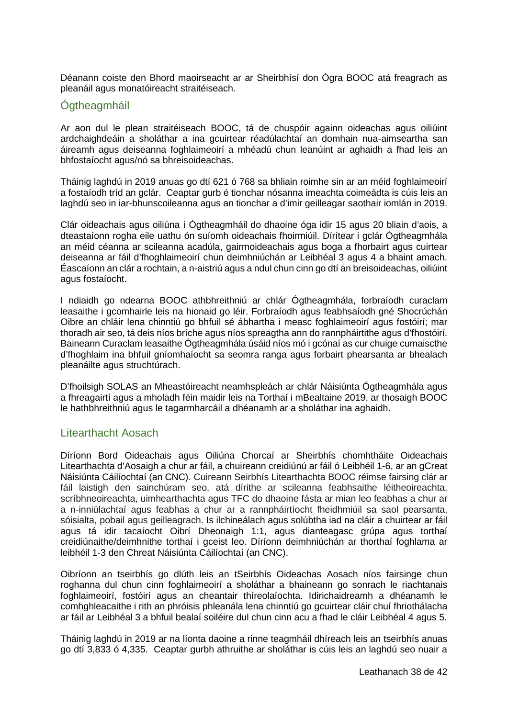Déanann coiste den Bhord maoirseacht ar ar Sheirbhísí don Ógra BOOC atá freagrach as pleanáil agus monatóireacht straitéiseach.

### <span id="page-37-0"></span>**Ogtheagmháil**

Ar aon dul le plean straitéiseach BOOC, tá de chuspóir againn oideachas agus oiliúint ardchaighdeáin a sholáthar a ina gcuirtear réadúlachtaí an domhain nua-aimseartha san áireamh agus deiseanna foghlaimeoirí a mhéadú chun leanúint ar aghaidh a fhad leis an bhfostaíocht agus/nó sa bhreisoideachas.

Tháinig laghdú in 2019 anuas go dtí 621 ó 768 sa bhliain roimhe sin ar an méid foghlaimeoirí a fostaíodh tríd an gclár. Ceaptar gurb é tionchar nósanna imeachta coimeádta is cúis leis an laghdú seo in iar-bhunscoileanna agus an tionchar a d'imir geilleagar saothair iomlán in 2019.

Clár oideachais agus oiliúna í Ógtheagmháil do dhaoine óga idir 15 agus 20 bliain d'aois, a dteastaíonn rogha eile uathu ón suíomh oideachais fhoirmiúil. Dírítear i gclár Ógtheagmhála an méid céanna ar scileanna acadúla, gairmoideachais agus boga a fhorbairt agus cuirtear deiseanna ar fáil d'fhoghlaimeoirí chun deimhniúchán ar Leibhéal 3 agus 4 a bhaint amach. Éascaíonn an clár a rochtain, a n-aistriú agus a ndul chun cinn go dtí an breisoideachas, oiliúint agus fostaíocht.

I ndiaidh go ndearna BOOC athbhreithniú ar chlár Ógtheagmhála, forbraíodh curaclam leasaithe i gcomhairle leis na hionaid go léir. Forbraíodh agus feabhsaíodh gné Shocrúchán Oibre an chláir lena chinntiú go bhfuil sé ábhartha i measc foghlaimeoirí agus fostóirí; mar thoradh air seo, tá deis níos bríche agus níos spreagtha ann do rannpháirtithe agus d'fhostóirí. Baineann Curaclam leasaithe Ógtheagmhála úsáid níos mó i gcónaí as cur chuige cumaiscthe d'fhoghlaim ina bhfuil gníomhaíocht sa seomra ranga agus forbairt phearsanta ar bhealach pleanáilte agus struchtúrach.

D'fhoilsigh SOLAS an Mheastóireacht neamhspleách ar chlár Náisiúnta Ógtheagmhála agus a fhreagairtí agus a mholadh féin maidir leis na Torthaí i mBealtaine 2019, ar thosaigh BOOC le hathbhreithniú agus le tagarmharcáil a dhéanamh ar a sholáthar ina aghaidh.

### <span id="page-37-1"></span>Litearthacht Aosach

Díríonn Bord Oideachais agus Oiliúna Chorcaí ar Sheirbhís chomhtháite Oideachais Litearthachta d'Aosaigh a chur ar fáil, a chuireann creidiúnú ar fáil ó Leibhéil 1-6, ar an gCreat Náisiúnta Cáilíochtaí (an CNC). Cuireann Seirbhís Litearthachta BOOC réimse fairsing clár ar fáil laistigh den sainchúram seo, atá dírithe ar scileanna feabhsaithe léitheoireachta, scríbhneoireachta, uimhearthachta agus TFC do dhaoine fásta ar mian leo feabhas a chur ar a n-inniúlachtaí agus feabhas a chur ar a rannpháirtíocht fheidhmiúil sa saol pearsanta, sóisialta, pobail agus geilleagrach. Is ilchineálach agus solúbtha iad na cláir a chuirtear ar fáil agus tá idir tacaíocht Oibrí Dheonaigh 1:1, agus dianteagasc grúpa agus torthaí creidiúnaithe/deimhnithe torthaí i gceist leo. Díríonn deimhniúchán ar thorthaí foghlama ar leibhéil 1-3 den Chreat Náisiúnta Cáilíochtaí (an CNC).

Oibríonn an tseirbhís go dlúth leis an tSeirbhís Oideachas Aosach níos fairsinge chun roghanna dul chun cinn foghlaimeoirí a sholáthar a bhaineann go sonrach le riachtanais foghlaimeoirí, fostóirí agus an cheantair thíreolaíochta. Idirichaidreamh a dhéanamh le comhghleacaithe i rith an phróisis phleanála lena chinntiú go gcuirtear cláir chuí fhriothálacha ar fáil ar Leibhéal 3 a bhfuil bealaí soiléire dul chun cinn acu a fhad le cláir Leibhéal 4 agus 5.

Tháinig laghdú in 2019 ar na líonta daoine a rinne teagmháil dhíreach leis an tseirbhís anuas go dtí 3,833 ó 4,335. Ceaptar gurbh athruithe ar sholáthar is cúis leis an laghdú seo nuair a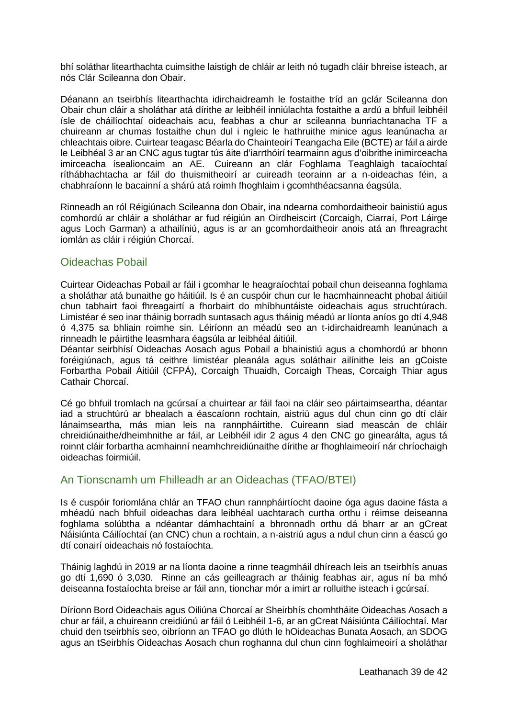bhí soláthar litearthachta cuimsithe laistigh de chláir ar leith nó tugadh cláir bhreise isteach, ar nós Clár Scileanna don Obair.

Déanann an tseirbhís litearthachta idirchaidreamh le fostaithe tríd an gclár Scileanna don Obair chun cláir a sholáthar atá dírithe ar leibhéil inniúlachta fostaithe a ardú a bhfuil leibhéil ísle de cháilíochtaí oideachais acu, feabhas a chur ar scileanna bunriachtanacha TF a chuireann ar chumas fostaithe chun dul i ngleic le hathruithe minice agus leanúnacha ar chleachtais oibre. Cuirtear teagasc Béarla do Chainteoirí Teangacha Eile (BCTE) ar fáil a airde le Leibhéal 3 ar an CNC agus tugtar tús áite d'iarrthóirí tearmainn agus d'oibrithe inimirceacha imirceacha ísealioncaim an AE. Cuireann an clár Foghlama Teaghlaigh tacaíochtaí ríthábhachtacha ar fáil do thuismitheoirí ar cuireadh teorainn ar a n-oideachas féin, a chabhraíonn le bacainní a shárú atá roimh fhoghlaim i gcomhthéacsanna éagsúla.

Rinneadh an ról Réigiúnach Scileanna don Obair, ina ndearna comhordaitheoir bainistiú agus comhordú ar chláir a sholáthar ar fud réigiún an Oirdheiscirt (Corcaigh, Ciarraí, Port Láirge agus Loch Garman) a athailíniú, agus is ar an gcomhordaitheoir anois atá an fhreagracht iomlán as cláir i réigiún Chorcaí.

### <span id="page-38-0"></span>Oideachas Pobail

Cuirtear Oideachas Pobail ar fáil i gcomhar le heagraíochtaí pobail chun deiseanna foghlama a sholáthar atá bunaithe go háitiúil. Is é an cuspóir chun cur le hacmhainneacht phobal áitiúil chun tabhairt faoi fhreagairtí a fhorbairt do mhíbhuntáiste oideachais agus struchtúrach. Limistéar é seo inar tháinig borradh suntasach agus tháinig méadú ar líonta aníos go dtí 4,948 ó 4,375 sa bhliain roimhe sin. Léiríonn an méadú seo an t-idirchaidreamh leanúnach a rinneadh le páirtithe leasmhara éagsúla ar leibhéal áitiúil.

Déantar seirbhísí Oideachas Aosach agus Pobail a bhainistiú agus a chomhordú ar bhonn foréigiúnach, agus tá ceithre limistéar pleanála agus soláthair ailínithe leis an gCoiste Forbartha Pobail Áitiúil (CFPÁ), Corcaigh Thuaidh, Corcaigh Theas, Corcaigh Thiar agus Cathair Chorcaí.

Cé go bhfuil tromlach na gcúrsaí a chuirtear ar fáil faoi na cláir seo páirtaimseartha, déantar iad a struchtúrú ar bhealach a éascaíonn rochtain, aistriú agus dul chun cinn go dtí cláir lánaimseartha, más mian leis na rannpháirtithe. Cuireann siad meascán de chláir chreidiúnaithe/dheimhnithe ar fáil, ar Leibhéil idir 2 agus 4 den CNC go ginearálta, agus tá roinnt cláir forbartha acmhainní neamhchreidiúnaithe dírithe ar fhoghlaimeoirí nár chríochaigh oideachas foirmiúil.

### <span id="page-38-1"></span>An Tionscnamh um Fhilleadh ar an Oideachas (TFAO/BTEI)

Is é cuspóir foriomlána chlár an TFAO chun rannpháirtíocht daoine óga agus daoine fásta a mhéadú nach bhfuil oideachas dara leibhéal uachtarach curtha orthu i réimse deiseanna foghlama solúbtha a ndéantar dámhachtainí a bhronnadh orthu dá bharr ar an gCreat Náisiúnta Cáilíochtaí (an CNC) chun a rochtain, a n-aistriú agus a ndul chun cinn a éascú go dtí conairí oideachais nó fostaíochta.

Tháinig laghdú in 2019 ar na líonta daoine a rinne teagmháil dhíreach leis an tseirbhís anuas go dtí 1,690 ó 3,030. Rinne an cás geilleagrach ar tháinig feabhas air, agus ní ba mhó deiseanna fostaíochta breise ar fáil ann, tionchar mór a imirt ar rolluithe isteach i gcúrsaí.

Díríonn Bord Oideachais agus Oiliúna Chorcaí ar Sheirbhís chomhtháite Oideachas Aosach a chur ar fáil, a chuireann creidiúnú ar fáil ó Leibhéil 1-6, ar an gCreat Náisiúnta Cáilíochtaí. Mar chuid den tseirbhís seo, oibríonn an TFAO go dlúth le hOideachas Bunata Aosach, an SDOG agus an tSeirbhís Oideachas Aosach chun roghanna dul chun cinn foghlaimeoirí a sholáthar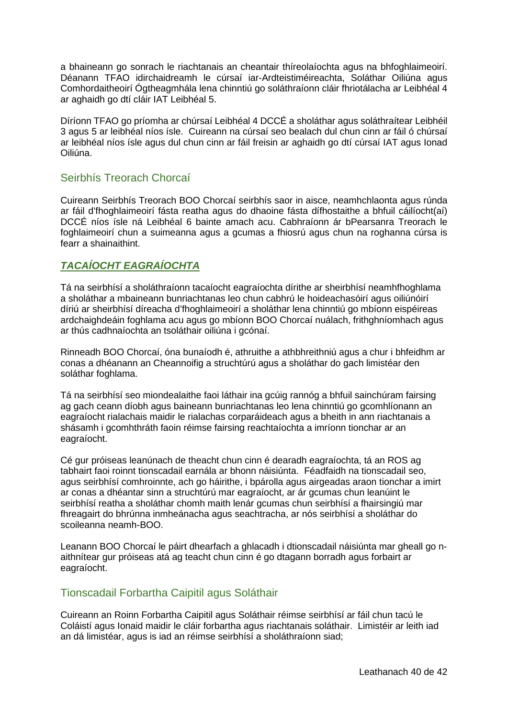a bhaineann go sonrach le riachtanais an cheantair thíreolaíochta agus na bhfoghlaimeoirí. Déanann TFAO idirchaidreamh le cúrsaí iar-Ardteistiméireachta, Soláthar Oiliúna agus Comhordaitheoirí Ógtheagmhála lena chinntiú go soláthraíonn cláir fhriotálacha ar Leibhéal 4 ar aghaidh go dtí cláir IAT Leibhéal 5.

Díríonn TFAO go príomha ar chúrsaí Leibhéal 4 DCCÉ a sholáthar agus soláthraítear Leibhéil 3 agus 5 ar leibhéal níos ísle. Cuireann na cúrsaí seo bealach dul chun cinn ar fáil ó chúrsaí ar leibhéal níos ísle agus dul chun cinn ar fáil freisin ar aghaidh go dtí cúrsaí IAT agus Ionad Oiliúna.

### <span id="page-39-0"></span>Seirbhís Treorach Chorcaí

Cuireann Seirbhís Treorach BOO Chorcaí seirbhís saor in aisce, neamhchlaonta agus rúnda ar fáil d'fhoghlaimeoirí fásta reatha agus do dhaoine fásta dífhostaithe a bhfuil cáilíocht(aí) DCCÉ níos ísle ná Leibhéal 6 bainte amach acu. Cabhraíonn ár bPearsanra Treorach le foghlaimeoirí chun a suimeanna agus a gcumas a fhiosrú agus chun na roghanna cúrsa is fearr a shainaithint.

### <span id="page-39-1"></span>*TACAÍOCHT EAGRAÍOCHTA*

Tá na seirbhísí a sholáthraíonn tacaíocht eagraíochta dírithe ar sheirbhísí neamhfhoghlama a sholáthar a mbaineann bunriachtanas leo chun cabhrú le hoideachasóirí agus oiliúnóirí díriú ar sheirbhísí díreacha d'fhoghlaimeoirí a sholáthar lena chinntiú go mbíonn eispéireas ardchaighdeáin foghlama acu agus go mbíonn BOO Chorcaí nuálach, frithghníomhach agus ar thús cadhnaíochta an tsoláthair oiliúna i gcónaí.

Rinneadh BOO Chorcaí, óna bunaíodh é, athruithe a athbhreithniú agus a chur i bhfeidhm ar conas a dhéanann an Cheannoifig a struchtúrú agus a sholáthar do gach limistéar den soláthar foghlama.

Tá na seirbhísí seo miondealaithe faoi láthair ina gcúig rannóg a bhfuil sainchúram fairsing ag gach ceann díobh agus baineann bunriachtanas leo lena chinntiú go gcomhlíonann an eagraíocht rialachais maidir le rialachas corparáideach agus a bheith in ann riachtanais a shásamh i gcomhthráth faoin réimse fairsing reachtaíochta a imríonn tionchar ar an eagraíocht.

Cé gur próiseas leanúnach de theacht chun cinn é dearadh eagraíochta, tá an ROS ag tabhairt faoi roinnt tionscadail earnála ar bhonn náisiúnta. Féadfaidh na tionscadail seo, agus seirbhísí comhroinnte, ach go háirithe, i bpárolla agus airgeadas araon tionchar a imirt ar conas a dhéantar sinn a struchtúrú mar eagraíocht, ar ár gcumas chun leanúint le seirbhísí reatha a sholáthar chomh maith lenár gcumas chun seirbhísí a fhairsingiú mar fhreagairt do bhrúnna inmheánacha agus seachtracha, ar nós seirbhísí a sholáthar do scoileanna neamh-BOO.

Leanann BOO Chorcaí le páirt dhearfach a ghlacadh i dtionscadail náisiúnta mar gheall go naithnítear gur próiseas atá ag teacht chun cinn é go dtagann borradh agus forbairt ar eagraíocht.

### <span id="page-39-2"></span>Tionscadail Forbartha Caipitil agus Soláthair

Cuireann an Roinn Forbartha Caipitil agus Soláthair réimse seirbhísí ar fáil chun tacú le Coláistí agus Ionaid maidir le cláir forbartha agus riachtanais soláthair. Limistéir ar leith iad an dá limistéar, agus is iad an réimse seirbhísí a sholáthraíonn siad;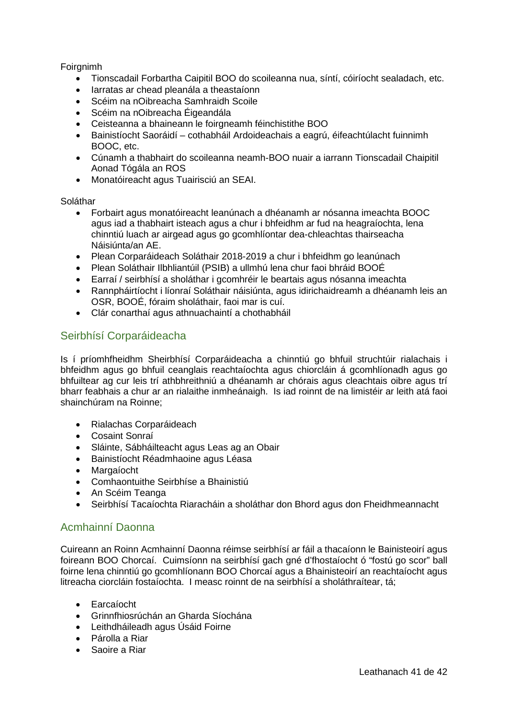#### Foirgnimh

- Tionscadail Forbartha Caipitil BOO do scoileanna nua, síntí, cóiríocht sealadach, etc.
- Iarratas ar chead pleanála a theastaíonn
- Scéim na nOibreacha Samhraidh Scoile
- Scéim na nOibreacha Éigeandála
- Ceisteanna a bhaineann le foirgneamh féinchistithe BOO
- Bainistíocht Saoráidí cothabháil Ardoideachais a eagrú, éifeachtúlacht fuinnimh BOOC, etc.
- Cúnamh a thabhairt do scoileanna neamh-BOO nuair a iarrann Tionscadail Chaipitil Aonad Tógála an ROS
- Monatóireacht agus Tuairisciú an SEAI.

#### Soláthar

- Forbairt agus monatóireacht leanúnach a dhéanamh ar nósanna imeachta BOOC agus iad a thabhairt isteach agus a chur i bhfeidhm ar fud na heagraíochta, lena chinntiú luach ar airgead agus go gcomhlíontar dea-chleachtas thairseacha Náisiúnta/an AE.
- Plean Corparáideach Soláthair 2018-2019 a chur i bhfeidhm go leanúnach
- Plean Soláthair Ilbhliantúil (PSIB) a ullmhú lena chur faoi bhráid BOOÉ
- Earraí / seirbhísí a sholáthar i gcomhréir le beartais agus nósanna imeachta
- Rannpháirtíocht i líonraí Soláthair náisiúnta, agus idirichaidreamh a dhéanamh leis an OSR, BOOÉ, fóraim sholáthair, faoi mar is cuí.
- Clár conarthaí agus athnuachaintí a chothabháil

### <span id="page-40-0"></span>Seirbhísí Corparáideacha

Is í príomhfheidhm Sheirbhísí Corparáideacha a chinntiú go bhfuil struchtúir rialachais i bhfeidhm agus go bhfuil ceanglais reachtaíochta agus chiorcláin á gcomhlíonadh agus go bhfuiltear ag cur leis trí athbhreithniú a dhéanamh ar chórais agus cleachtais oibre agus trí bharr feabhais a chur ar an rialaithe inmheánaigh. Is iad roinnt de na limistéir ar leith atá faoi shainchúram na Roinne;

- Rialachas Corparáideach
- Cosaint Sonraí
- Sláinte, Sábháilteacht agus Leas ag an Obair
- Bainistíocht Réadmhaoine agus Léasa
- Margaíocht
- Comhaontuithe Seirbhíse a Bhainistiú
- An Scéim Teanga
- Seirbhísí Tacaíochta Riaracháin a sholáthar don Bhord agus don Fheidhmeannacht

### <span id="page-40-1"></span>Acmhainní Daonna

Cuireann an Roinn Acmhainní Daonna réimse seirbhísí ar fáil a thacaíonn le Bainisteoirí agus foireann BOO Chorcaí. Cuimsíonn na seirbhísí gach gné d'fhostaíocht ó "fostú go scor" ball foirne lena chinntiú go gcomhlíonann BOO Chorcaí agus a Bhainisteoirí an reachtaíocht agus litreacha ciorcláin fostaíochta. I measc roinnt de na seirbhísí a sholáthraítear, tá;

- Earcaíocht
- Grinnfhiosrúchán an Gharda Síochána
- Leithdháileadh agus Úsáid Foirne
- Párolla a Riar
- Saoire a Riar